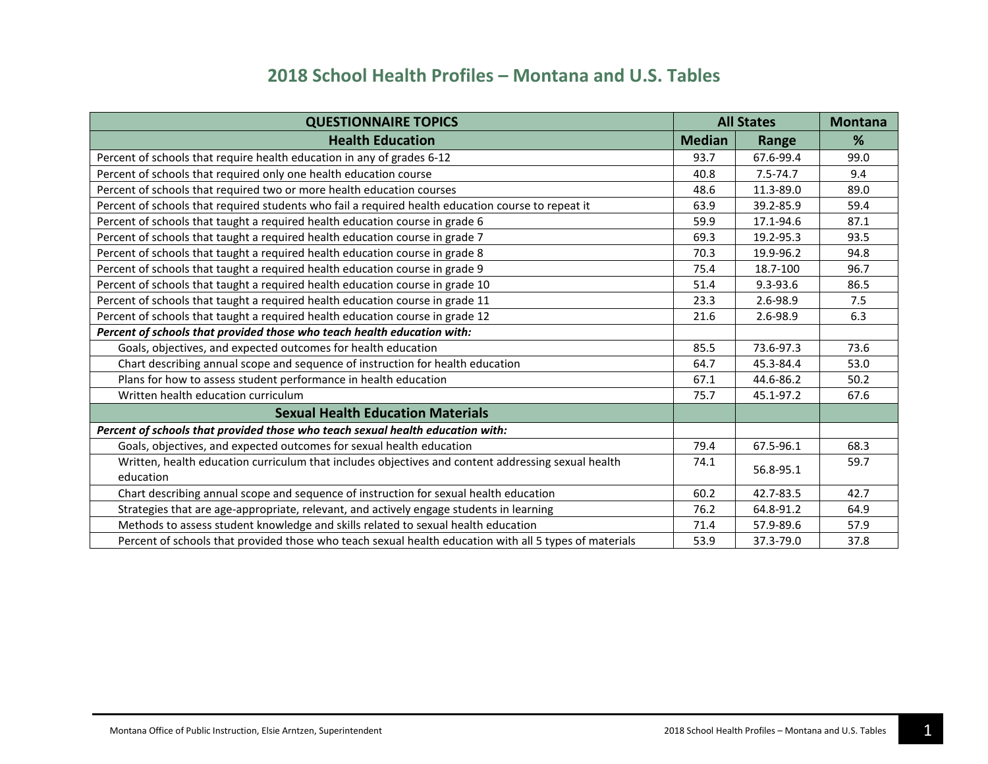| <b>QUESTIONNAIRE TOPICS</b>                                                                            | <b>All States</b> |              | <b>Montana</b> |
|--------------------------------------------------------------------------------------------------------|-------------------|--------------|----------------|
| <b>Health Education</b>                                                                                | <b>Median</b>     | Range        | %              |
| Percent of schools that require health education in any of grades 6-12                                 | 93.7              | 67.6-99.4    | 99.0           |
| Percent of schools that required only one health education course                                      | 40.8              | $7.5 - 74.7$ | 9.4            |
| Percent of schools that required two or more health education courses                                  | 48.6              | 11.3-89.0    | 89.0           |
| Percent of schools that required students who fail a required health education course to repeat it     | 63.9              | 39.2-85.9    | 59.4           |
| Percent of schools that taught a required health education course in grade 6                           | 59.9              | 17.1-94.6    | 87.1           |
| Percent of schools that taught a required health education course in grade 7                           | 69.3              | 19.2-95.3    | 93.5           |
| Percent of schools that taught a required health education course in grade 8                           | 70.3              | 19.9-96.2    | 94.8           |
| Percent of schools that taught a required health education course in grade 9                           | 75.4              | 18.7-100     | 96.7           |
| Percent of schools that taught a required health education course in grade 10                          | 51.4              | $9.3 - 93.6$ | 86.5           |
| Percent of schools that taught a required health education course in grade 11                          | 23.3              | $2.6 - 98.9$ | 7.5            |
| Percent of schools that taught a required health education course in grade 12                          | 21.6              | $2.6 - 98.9$ | 6.3            |
| Percent of schools that provided those who teach health education with:                                |                   |              |                |
| Goals, objectives, and expected outcomes for health education                                          | 85.5              | 73.6-97.3    | 73.6           |
| Chart describing annual scope and sequence of instruction for health education                         | 64.7              | 45.3-84.4    | 53.0           |
| Plans for how to assess student performance in health education                                        | 67.1              | 44.6-86.2    | 50.2           |
| Written health education curriculum                                                                    | 75.7              | 45.1-97.2    | 67.6           |
| <b>Sexual Health Education Materials</b>                                                               |                   |              |                |
| Percent of schools that provided those who teach sexual health education with:                         |                   |              |                |
| Goals, objectives, and expected outcomes for sexual health education                                   | 79.4              | 67.5-96.1    | 68.3           |
| Written, health education curriculum that includes objectives and content addressing sexual health     | 74.1              |              | 59.7           |
| education                                                                                              |                   | 56.8-95.1    |                |
| Chart describing annual scope and sequence of instruction for sexual health education                  | 60.2              | 42.7-83.5    | 42.7           |
| Strategies that are age-appropriate, relevant, and actively engage students in learning                | 76.2              | 64.8-91.2    | 64.9           |
| Methods to assess student knowledge and skills related to sexual health education                      | 71.4              | 57.9-89.6    | 57.9           |
| Percent of schools that provided those who teach sexual health education with all 5 types of materials | 53.9              | 37.3-79.0    | 37.8           |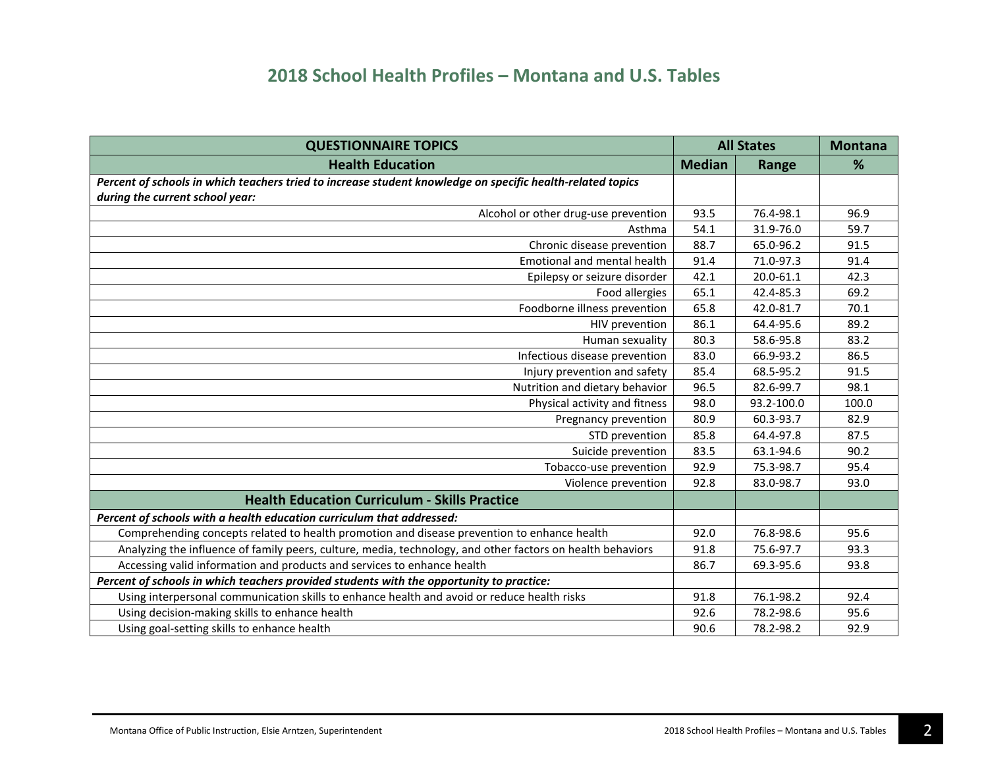| <b>QUESTIONNAIRE TOPICS</b>                                                                                                                   | <b>All States</b> |            | <b>Montana</b> |
|-----------------------------------------------------------------------------------------------------------------------------------------------|-------------------|------------|----------------|
| <b>Health Education</b>                                                                                                                       | <b>Median</b>     | Range      | %              |
| Percent of schools in which teachers tried to increase student knowledge on specific health-related topics<br>during the current school year: |                   |            |                |
| Alcohol or other drug-use prevention                                                                                                          | 93.5              | 76.4-98.1  | 96.9           |
| Asthma                                                                                                                                        | 54.1              | 31.9-76.0  | 59.7           |
| Chronic disease prevention                                                                                                                    | 88.7              | 65.0-96.2  | 91.5           |
| Emotional and mental health                                                                                                                   | 91.4              | 71.0-97.3  | 91.4           |
| Epilepsy or seizure disorder                                                                                                                  | 42.1              | 20.0-61.1  | 42.3           |
| Food allergies                                                                                                                                | 65.1              | 42.4-85.3  | 69.2           |
| Foodborne illness prevention                                                                                                                  | 65.8              | 42.0-81.7  | 70.1           |
| HIV prevention                                                                                                                                | 86.1              | 64.4-95.6  | 89.2           |
| Human sexuality                                                                                                                               | 80.3              | 58.6-95.8  | 83.2           |
| Infectious disease prevention                                                                                                                 | 83.0              | 66.9-93.2  | 86.5           |
| Injury prevention and safety                                                                                                                  | 85.4              | 68.5-95.2  | 91.5           |
| Nutrition and dietary behavior                                                                                                                | 96.5              | 82.6-99.7  | 98.1           |
| Physical activity and fitness                                                                                                                 | 98.0              | 93.2-100.0 | 100.0          |
| Pregnancy prevention                                                                                                                          | 80.9              | 60.3-93.7  | 82.9           |
| STD prevention                                                                                                                                | 85.8              | 64.4-97.8  | 87.5           |
| Suicide prevention                                                                                                                            | 83.5              | 63.1-94.6  | 90.2           |
| Tobacco-use prevention                                                                                                                        | 92.9              | 75.3-98.7  | 95.4           |
| Violence prevention                                                                                                                           | 92.8              | 83.0-98.7  | 93.0           |
| <b>Health Education Curriculum - Skills Practice</b>                                                                                          |                   |            |                |
| Percent of schools with a health education curriculum that addressed:                                                                         |                   |            |                |
| Comprehending concepts related to health promotion and disease prevention to enhance health                                                   | 92.0              | 76.8-98.6  | 95.6           |
| Analyzing the influence of family peers, culture, media, technology, and other factors on health behaviors                                    | 91.8              | 75.6-97.7  | 93.3           |
| Accessing valid information and products and services to enhance health                                                                       | 86.7              | 69.3-95.6  | 93.8           |
| Percent of schools in which teachers provided students with the opportunity to practice:                                                      |                   |            |                |
| Using interpersonal communication skills to enhance health and avoid or reduce health risks                                                   | 91.8              | 76.1-98.2  | 92.4           |
| Using decision-making skills to enhance health                                                                                                | 92.6              | 78.2-98.6  | 95.6           |
| Using goal-setting skills to enhance health                                                                                                   | 90.6              | 78.2-98.2  | 92.9           |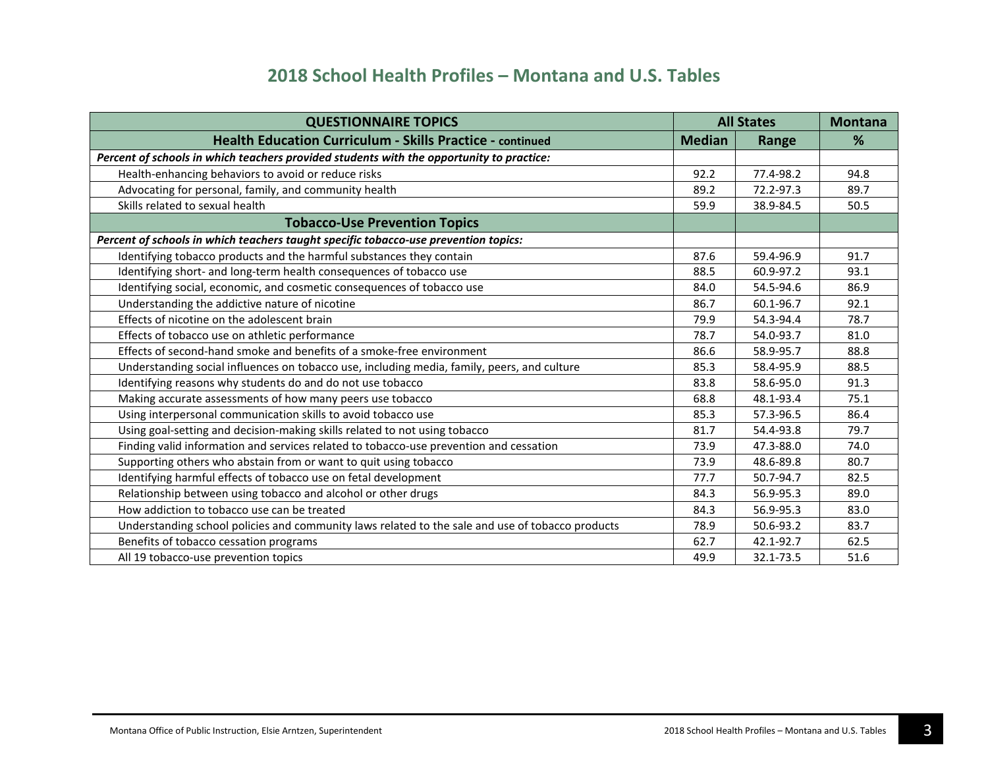| <b>QUESTIONNAIRE TOPICS</b>                                                                      | <b>All States</b> |           | <b>Montana</b> |
|--------------------------------------------------------------------------------------------------|-------------------|-----------|----------------|
| <b>Health Education Curriculum - Skills Practice - continued</b>                                 | <b>Median</b>     | Range     | %              |
| Percent of schools in which teachers provided students with the opportunity to practice:         |                   |           |                |
| Health-enhancing behaviors to avoid or reduce risks                                              | 92.2              | 77.4-98.2 | 94.8           |
| Advocating for personal, family, and community health                                            | 89.2              | 72.2-97.3 | 89.7           |
| Skills related to sexual health                                                                  | 59.9              | 38.9-84.5 | 50.5           |
| <b>Tobacco-Use Prevention Topics</b>                                                             |                   |           |                |
| Percent of schools in which teachers taught specific tobacco-use prevention topics:              |                   |           |                |
| Identifying tobacco products and the harmful substances they contain                             | 87.6              | 59.4-96.9 | 91.7           |
| Identifying short- and long-term health consequences of tobacco use                              | 88.5              | 60.9-97.2 | 93.1           |
| Identifying social, economic, and cosmetic consequences of tobacco use                           | 84.0              | 54.5-94.6 | 86.9           |
| Understanding the addictive nature of nicotine                                                   | 86.7              | 60.1-96.7 | 92.1           |
| Effects of nicotine on the adolescent brain                                                      | 79.9              | 54.3-94.4 | 78.7           |
| Effects of tobacco use on athletic performance                                                   | 78.7              | 54.0-93.7 | 81.0           |
| Effects of second-hand smoke and benefits of a smoke-free environment                            | 86.6              | 58.9-95.7 | 88.8           |
| Understanding social influences on tobacco use, including media, family, peers, and culture      | 85.3              | 58.4-95.9 | 88.5           |
| Identifying reasons why students do and do not use tobacco                                       | 83.8              | 58.6-95.0 | 91.3           |
| Making accurate assessments of how many peers use tobacco                                        | 68.8              | 48.1-93.4 | 75.1           |
| Using interpersonal communication skills to avoid tobacco use                                    | 85.3              | 57.3-96.5 | 86.4           |
| Using goal-setting and decision-making skills related to not using tobacco                       | 81.7              | 54.4-93.8 | 79.7           |
| Finding valid information and services related to tobacco-use prevention and cessation           | 73.9              | 47.3-88.0 | 74.0           |
| Supporting others who abstain from or want to quit using tobacco                                 | 73.9              | 48.6-89.8 | 80.7           |
| Identifying harmful effects of tobacco use on fetal development                                  | 77.7              | 50.7-94.7 | 82.5           |
| Relationship between using tobacco and alcohol or other drugs                                    | 84.3              | 56.9-95.3 | 89.0           |
| How addiction to tobacco use can be treated                                                      | 84.3              | 56.9-95.3 | 83.0           |
| Understanding school policies and community laws related to the sale and use of tobacco products | 78.9              | 50.6-93.2 | 83.7           |
| Benefits of tobacco cessation programs                                                           | 62.7              | 42.1-92.7 | 62.5           |
| All 19 tobacco-use prevention topics                                                             | 49.9              | 32.1-73.5 | 51.6           |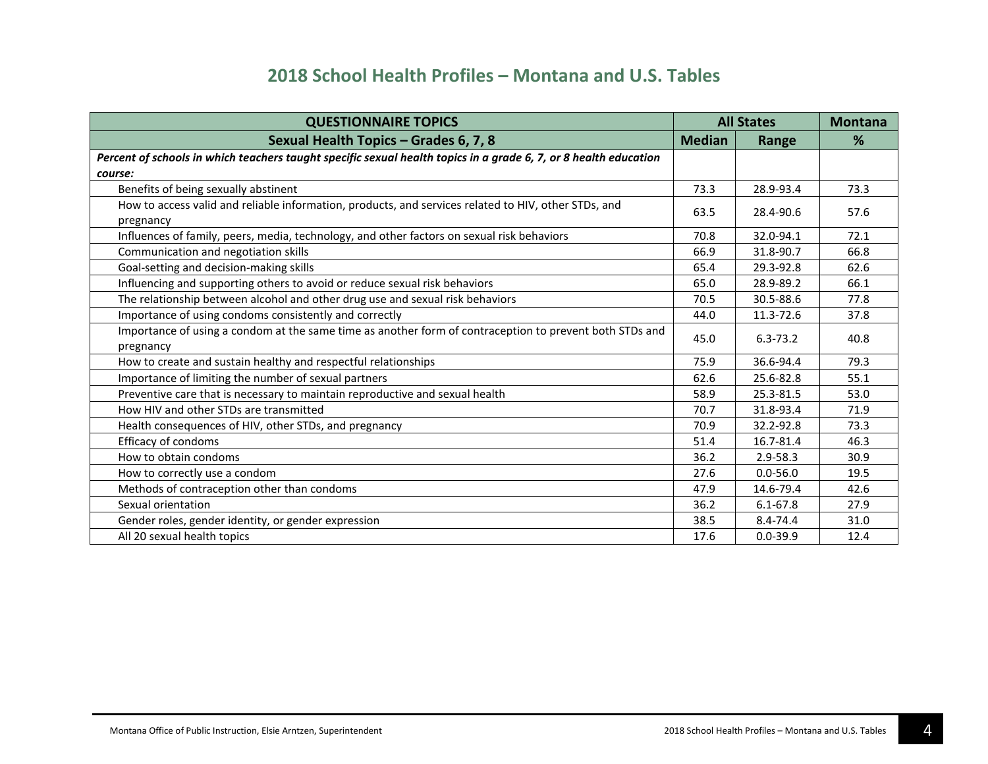| <b>QUESTIONNAIRE TOPICS</b>                                                                                          | <b>All States</b> |              | <b>Montana</b> |
|----------------------------------------------------------------------------------------------------------------------|-------------------|--------------|----------------|
| Sexual Health Topics - Grades 6, 7, 8                                                                                | <b>Median</b>     | Range        | %              |
| Percent of schools in which teachers taught specific sexual health topics in a grade 6, 7, or 8 health education     |                   |              |                |
| course:                                                                                                              |                   |              |                |
| Benefits of being sexually abstinent                                                                                 | 73.3              | 28.9-93.4    | 73.3           |
| How to access valid and reliable information, products, and services related to HIV, other STDs, and                 | 63.5              | 28.4-90.6    | 57.6           |
| pregnancy                                                                                                            |                   |              |                |
| Influences of family, peers, media, technology, and other factors on sexual risk behaviors                           | 70.8              | 32.0-94.1    | 72.1           |
| Communication and negotiation skills                                                                                 | 66.9              | 31.8-90.7    | 66.8           |
| Goal-setting and decision-making skills                                                                              | 65.4              | 29.3-92.8    | 62.6           |
| Influencing and supporting others to avoid or reduce sexual risk behaviors                                           | 65.0              | 28.9-89.2    | 66.1           |
| The relationship between alcohol and other drug use and sexual risk behaviors                                        | 70.5              | 30.5-88.6    | 77.8           |
| Importance of using condoms consistently and correctly                                                               | 44.0              | 11.3-72.6    | 37.8           |
| Importance of using a condom at the same time as another form of contraception to prevent both STDs and<br>pregnancy | 45.0              | $6.3 - 73.2$ | 40.8           |
| How to create and sustain healthy and respectful relationships                                                       | 75.9              | 36.6-94.4    | 79.3           |
| Importance of limiting the number of sexual partners                                                                 | 62.6              | 25.6-82.8    | 55.1           |
| Preventive care that is necessary to maintain reproductive and sexual health                                         | 58.9              | 25.3-81.5    | 53.0           |
| How HIV and other STDs are transmitted                                                                               | 70.7              | 31.8-93.4    | 71.9           |
| Health consequences of HIV, other STDs, and pregnancy                                                                | 70.9              | 32.2-92.8    | 73.3           |
| Efficacy of condoms                                                                                                  | 51.4              | 16.7-81.4    | 46.3           |
| How to obtain condoms                                                                                                | 36.2              | $2.9 - 58.3$ | 30.9           |
| How to correctly use a condom                                                                                        | 27.6              | $0.0 - 56.0$ | 19.5           |
| Methods of contraception other than condoms                                                                          | 47.9              | 14.6-79.4    | 42.6           |
| Sexual orientation                                                                                                   | 36.2              | $6.1 - 67.8$ | 27.9           |
| Gender roles, gender identity, or gender expression                                                                  | 38.5              | 8.4-74.4     | 31.0           |
| All 20 sexual health topics                                                                                          | 17.6              | $0.0 - 39.9$ | 12.4           |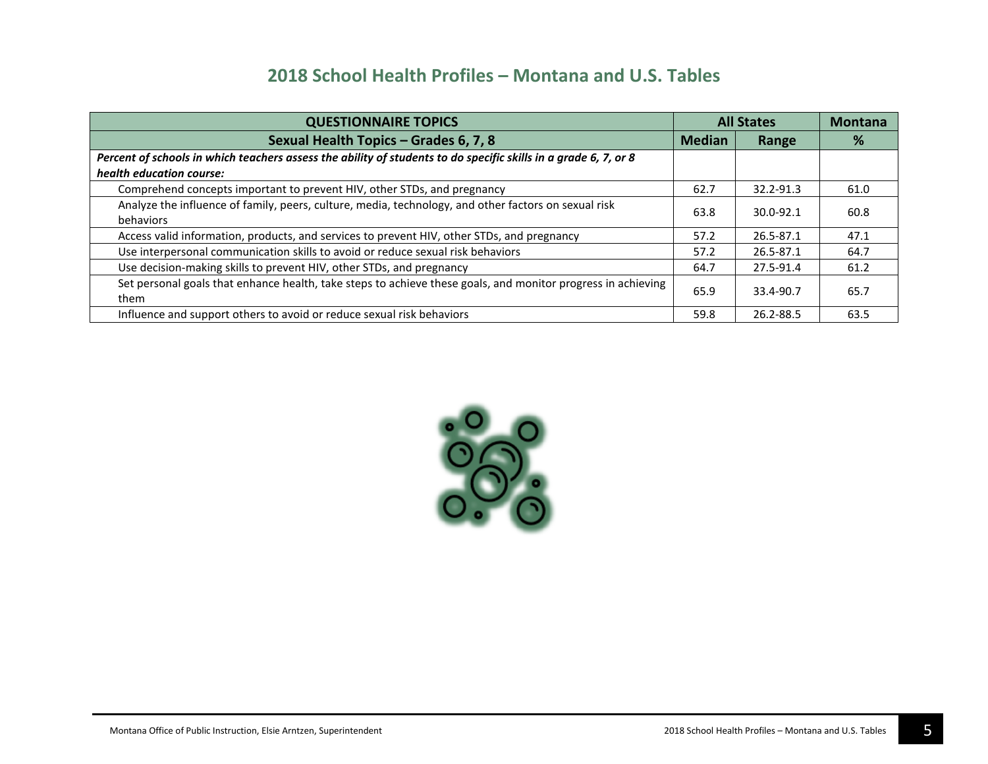| <b>QUESTIONNAIRE TOPICS</b>                                                                                          | <b>All States</b> |               | <b>Montana</b> |
|----------------------------------------------------------------------------------------------------------------------|-------------------|---------------|----------------|
| Sexual Health Topics - Grades 6, 7, 8                                                                                | <b>Median</b>     | Range         | %              |
| Percent of schools in which teachers assess the ability of students to do specific skills in a grade 6, 7, or 8      |                   |               |                |
| health education course:                                                                                             |                   |               |                |
| Comprehend concepts important to prevent HIV, other STDs, and pregnancy                                              | 62.7              | 32.2-91.3     | 61.0           |
| Analyze the influence of family, peers, culture, media, technology, and other factors on sexual risk<br>behaviors    | 63.8              | $30.0 - 92.1$ | 60.8           |
| Access valid information, products, and services to prevent HIV, other STDs, and pregnancy                           | 57.2              | 26.5-87.1     | 47.1           |
| Use interpersonal communication skills to avoid or reduce sexual risk behaviors                                      | 57.2              | 26.5-87.1     | 64.7           |
| Use decision-making skills to prevent HIV, other STDs, and pregnancy                                                 | 64.7              | 27.5-91.4     | 61.2           |
| Set personal goals that enhance health, take steps to achieve these goals, and monitor progress in achieving<br>them | 65.9              | 33.4-90.7     | 65.7           |
| Influence and support others to avoid or reduce sexual risk behaviors                                                | 59.8              | 26.2-88.5     | 63.5           |

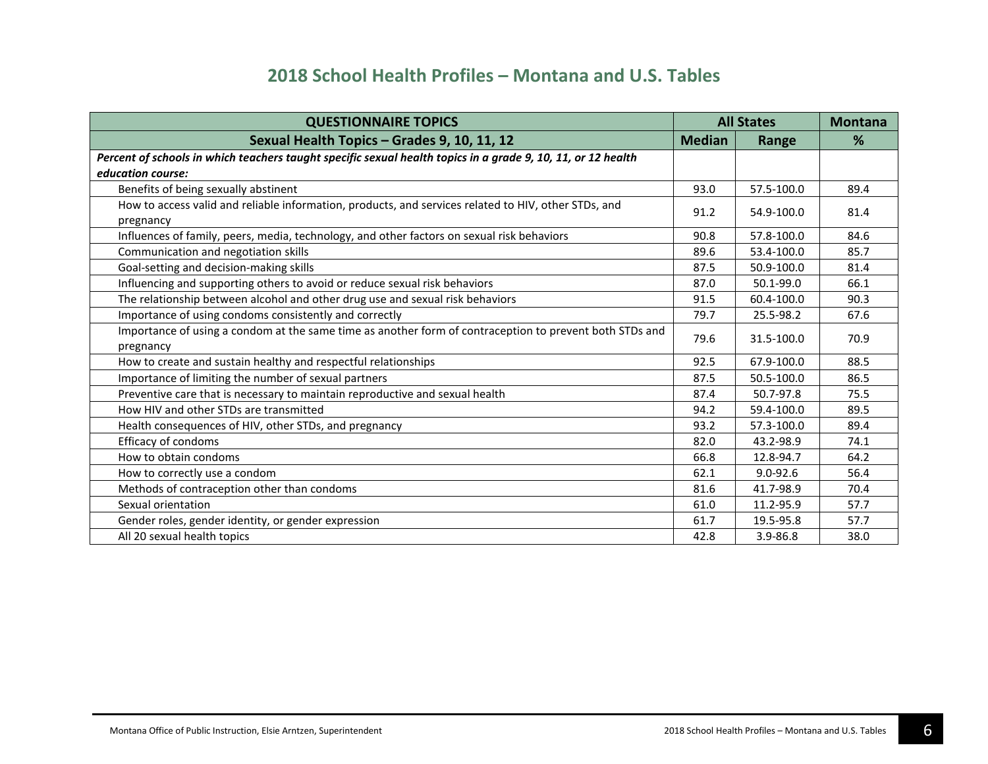| <b>QUESTIONNAIRE TOPICS</b>                                                                                  | <b>All States</b> |              | <b>Montana</b> |
|--------------------------------------------------------------------------------------------------------------|-------------------|--------------|----------------|
| Sexual Health Topics - Grades 9, 10, 11, 12                                                                  | <b>Median</b>     | Range        | %              |
| Percent of schools in which teachers taught specific sexual health topics in a grade 9, 10, 11, or 12 health |                   |              |                |
| education course:                                                                                            |                   |              |                |
| Benefits of being sexually abstinent                                                                         | 93.0              | 57.5-100.0   | 89.4           |
| How to access valid and reliable information, products, and services related to HIV, other STDs, and         | 91.2              | 54.9-100.0   | 81.4           |
| pregnancy                                                                                                    |                   |              |                |
| Influences of family, peers, media, technology, and other factors on sexual risk behaviors                   | 90.8              | 57.8-100.0   | 84.6           |
| Communication and negotiation skills                                                                         | 89.6              | 53.4-100.0   | 85.7           |
| Goal-setting and decision-making skills                                                                      | 87.5              | 50.9-100.0   | 81.4           |
| Influencing and supporting others to avoid or reduce sexual risk behaviors                                   | 87.0              | 50.1-99.0    | 66.1           |
| The relationship between alcohol and other drug use and sexual risk behaviors                                | 91.5              | 60.4-100.0   | 90.3           |
| Importance of using condoms consistently and correctly                                                       | 79.7              | 25.5-98.2    | 67.6           |
| Importance of using a condom at the same time as another form of contraception to prevent both STDs and      | 79.6              | 31.5-100.0   | 70.9           |
| pregnancy                                                                                                    |                   |              |                |
| How to create and sustain healthy and respectful relationships                                               | 92.5              | 67.9-100.0   | 88.5           |
| Importance of limiting the number of sexual partners                                                         | 87.5              | 50.5-100.0   | 86.5           |
| Preventive care that is necessary to maintain reproductive and sexual health                                 | 87.4              | 50.7-97.8    | 75.5           |
| How HIV and other STDs are transmitted                                                                       | 94.2              | 59.4-100.0   | 89.5           |
| Health consequences of HIV, other STDs, and pregnancy                                                        | 93.2              | 57.3-100.0   | 89.4           |
| Efficacy of condoms                                                                                          | 82.0              | 43.2-98.9    | 74.1           |
| How to obtain condoms                                                                                        | 66.8              | 12.8-94.7    | 64.2           |
| How to correctly use a condom                                                                                | 62.1              | $9.0 - 92.6$ | 56.4           |
| Methods of contraception other than condoms                                                                  | 81.6              | 41.7-98.9    | 70.4           |
| Sexual orientation                                                                                           | 61.0              | 11.2-95.9    | 57.7           |
| Gender roles, gender identity, or gender expression                                                          | 61.7              | 19.5-95.8    | 57.7           |
| All 20 sexual health topics                                                                                  | 42.8              | 3.9-86.8     | 38.0           |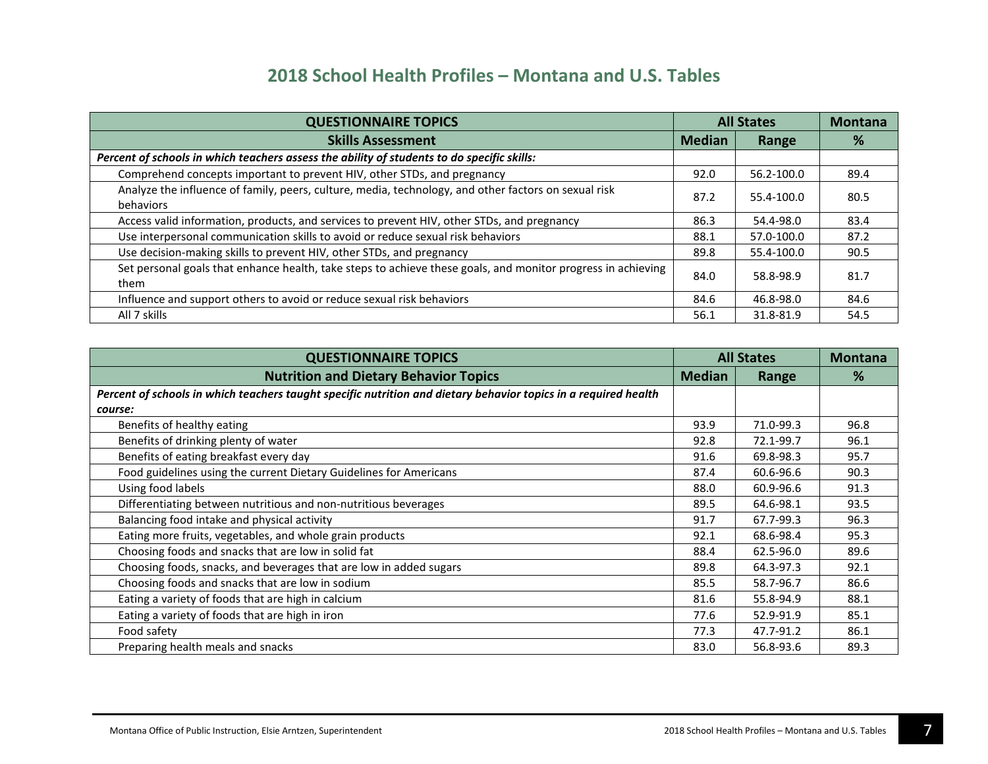| <b>QUESTIONNAIRE TOPICS</b>                                                                                          | <b>All States</b> |            | <b>Montana</b> |
|----------------------------------------------------------------------------------------------------------------------|-------------------|------------|----------------|
| <b>Skills Assessment</b>                                                                                             | <b>Median</b>     | Range      | %              |
| Percent of schools in which teachers assess the ability of students to do specific skills:                           |                   |            |                |
| Comprehend concepts important to prevent HIV, other STDs, and pregnancy                                              | 92.0              | 56.2-100.0 | 89.4           |
| Analyze the influence of family, peers, culture, media, technology, and other factors on sexual risk<br>behaviors    | 87.2              | 55.4-100.0 | 80.5           |
| Access valid information, products, and services to prevent HIV, other STDs, and pregnancy                           | 86.3              | 54.4-98.0  | 83.4           |
| Use interpersonal communication skills to avoid or reduce sexual risk behaviors                                      | 88.1              | 57.0-100.0 | 87.2           |
| Use decision-making skills to prevent HIV, other STDs, and pregnancy                                                 | 89.8              | 55.4-100.0 | 90.5           |
| Set personal goals that enhance health, take steps to achieve these goals, and monitor progress in achieving<br>them | 84.0              | 58.8-98.9  | 81.7           |
| Influence and support others to avoid or reduce sexual risk behaviors                                                | 84.6              | 46.8-98.0  | 84.6           |
| All 7 skills                                                                                                         | 56.1              | 31.8-81.9  | 54.5           |

| <b>QUESTIONNAIRE TOPICS</b>                                                                                     | <b>All States</b> |           | <b>Montana</b> |
|-----------------------------------------------------------------------------------------------------------------|-------------------|-----------|----------------|
| <b>Nutrition and Dietary Behavior Topics</b>                                                                    | <b>Median</b>     | Range     | %              |
| Percent of schools in which teachers taught specific nutrition and dietary behavior topics in a required health |                   |           |                |
| course:                                                                                                         |                   |           |                |
| Benefits of healthy eating                                                                                      | 93.9              | 71.0-99.3 | 96.8           |
| Benefits of drinking plenty of water                                                                            | 92.8              | 72.1-99.7 | 96.1           |
| Benefits of eating breakfast every day                                                                          | 91.6              | 69.8-98.3 | 95.7           |
| Food guidelines using the current Dietary Guidelines for Americans                                              | 87.4              | 60.6-96.6 | 90.3           |
| Using food labels                                                                                               | 88.0              | 60.9-96.6 | 91.3           |
| Differentiating between nutritious and non-nutritious beverages                                                 | 89.5              | 64.6-98.1 | 93.5           |
| Balancing food intake and physical activity                                                                     | 91.7              | 67.7-99.3 | 96.3           |
| Eating more fruits, vegetables, and whole grain products                                                        | 92.1              | 68.6-98.4 | 95.3           |
| Choosing foods and snacks that are low in solid fat                                                             | 88.4              | 62.5-96.0 | 89.6           |
| Choosing foods, snacks, and beverages that are low in added sugars                                              | 89.8              | 64.3-97.3 | 92.1           |
| Choosing foods and snacks that are low in sodium                                                                | 85.5              | 58.7-96.7 | 86.6           |
| Eating a variety of foods that are high in calcium                                                              | 81.6              | 55.8-94.9 | 88.1           |
| Eating a variety of foods that are high in iron                                                                 | 77.6              | 52.9-91.9 | 85.1           |
| Food safety                                                                                                     | 77.3              | 47.7-91.2 | 86.1           |
| Preparing health meals and snacks                                                                               | 83.0              | 56.8-93.6 | 89.3           |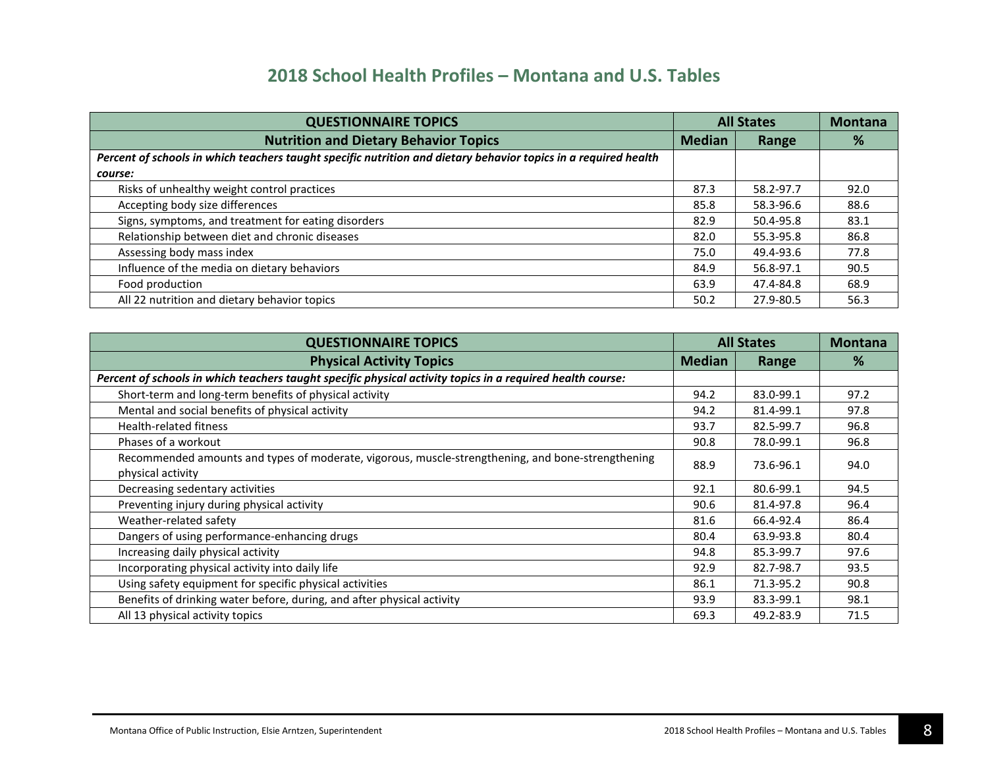| <b>QUESTIONNAIRE TOPICS</b>                                                                                     | <b>All States</b> |           | <b>Montana</b> |
|-----------------------------------------------------------------------------------------------------------------|-------------------|-----------|----------------|
| <b>Nutrition and Dietary Behavior Topics</b>                                                                    | <b>Median</b>     | Range     | %              |
| Percent of schools in which teachers taught specific nutrition and dietary behavior topics in a required health |                   |           |                |
| course:                                                                                                         |                   |           |                |
| Risks of unhealthy weight control practices                                                                     | 87.3              | 58.2-97.7 | 92.0           |
| Accepting body size differences                                                                                 | 85.8              | 58.3-96.6 | 88.6           |
| Signs, symptoms, and treatment for eating disorders                                                             | 82.9              | 50.4-95.8 | 83.1           |
| Relationship between diet and chronic diseases                                                                  | 82.0              | 55.3-95.8 | 86.8           |
| Assessing body mass index                                                                                       | 75.0              | 49.4-93.6 | 77.8           |
| Influence of the media on dietary behaviors                                                                     | 84.9              | 56.8-97.1 | 90.5           |
| Food production                                                                                                 | 63.9              | 47.4-84.8 | 68.9           |
| All 22 nutrition and dietary behavior topics                                                                    | 50.2              | 27.9-80.5 | 56.3           |

| <b>QUESTIONNAIRE TOPICS</b>                                                                                | <b>All States</b> |           | <b>Montana</b> |
|------------------------------------------------------------------------------------------------------------|-------------------|-----------|----------------|
| <b>Physical Activity Topics</b>                                                                            | <b>Median</b>     | Range     | %              |
| Percent of schools in which teachers taught specific physical activity topics in a required health course: |                   |           |                |
| Short-term and long-term benefits of physical activity                                                     | 94.2              | 83.0-99.1 | 97.2           |
| Mental and social benefits of physical activity                                                            | 94.2              | 81.4-99.1 | 97.8           |
| <b>Health-related fitness</b>                                                                              | 93.7              | 82.5-99.7 | 96.8           |
| Phases of a workout                                                                                        | 90.8              | 78.0-99.1 | 96.8           |
| Recommended amounts and types of moderate, vigorous, muscle-strengthening, and bone-strengthening          | 88.9              | 73.6-96.1 | 94.0           |
| physical activity                                                                                          |                   |           |                |
| Decreasing sedentary activities                                                                            | 92.1              | 80.6-99.1 | 94.5           |
| Preventing injury during physical activity                                                                 | 90.6              | 81.4-97.8 | 96.4           |
| Weather-related safety                                                                                     | 81.6              | 66.4-92.4 | 86.4           |
| Dangers of using performance-enhancing drugs                                                               | 80.4              | 63.9-93.8 | 80.4           |
| Increasing daily physical activity                                                                         | 94.8              | 85.3-99.7 | 97.6           |
| Incorporating physical activity into daily life                                                            | 92.9              | 82.7-98.7 | 93.5           |
| Using safety equipment for specific physical activities                                                    | 86.1              | 71.3-95.2 | 90.8           |
| Benefits of drinking water before, during, and after physical activity                                     | 93.9              | 83.3-99.1 | 98.1           |
| All 13 physical activity topics                                                                            | 69.3              | 49.2-83.9 | 71.5           |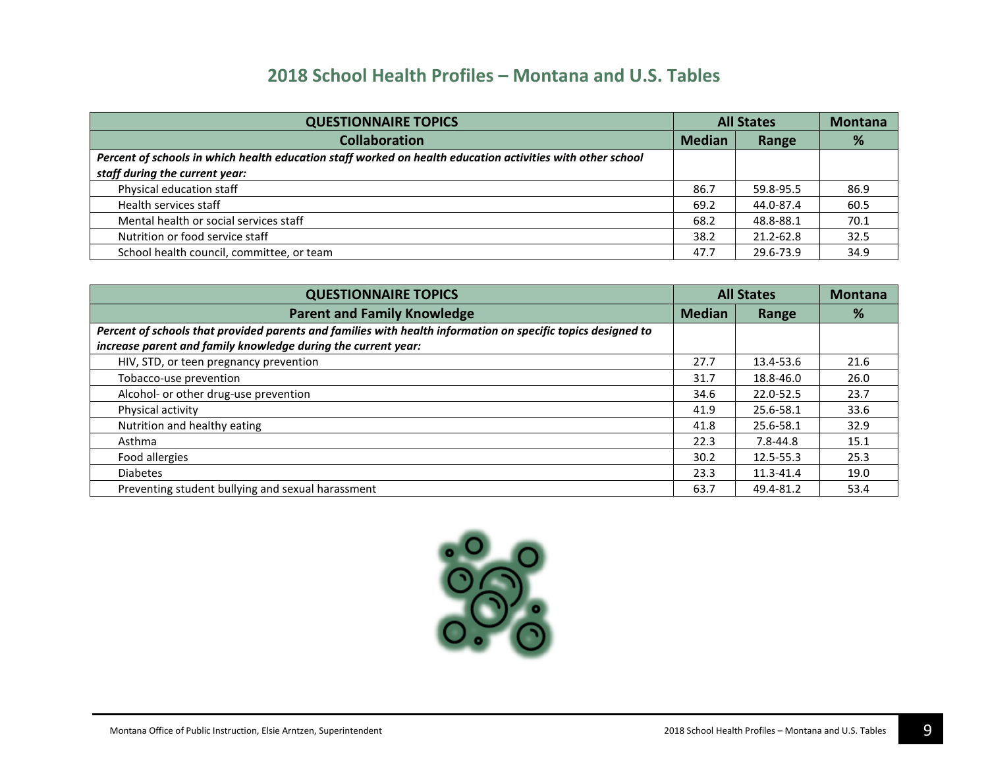| <b>QUESTIONNAIRE TOPICS</b>                                                                                | <b>All States</b> |           | <b>Montana</b> |
|------------------------------------------------------------------------------------------------------------|-------------------|-----------|----------------|
| <b>Collaboration</b>                                                                                       | <b>Median</b>     | Range     | %              |
| Percent of schools in which health education staff worked on health education activities with other school |                   |           |                |
| staff during the current year:                                                                             |                   |           |                |
| Physical education staff                                                                                   | 86.7              | 59.8-95.5 | 86.9           |
| Health services staff                                                                                      | 69.2              | 44.0-87.4 | 60.5           |
| Mental health or social services staff                                                                     | 68.2              | 48.8-88.1 | 70.1           |
| Nutrition or food service staff                                                                            | 38.2              | 21.2-62.8 | 32.5           |
| School health council, committee, or team                                                                  | 47.7              | 29.6-73.9 | 34.9           |

| <b>QUESTIONNAIRE TOPICS</b>                                                                                  | <b>All States</b> |           | <b>Montana</b> |
|--------------------------------------------------------------------------------------------------------------|-------------------|-----------|----------------|
| <b>Parent and Family Knowledge</b>                                                                           | <b>Median</b>     | Range     | %              |
| Percent of schools that provided parents and families with health information on specific topics designed to |                   |           |                |
| increase parent and family knowledge during the current year:                                                |                   |           |                |
| HIV, STD, or teen pregnancy prevention                                                                       | 27.7              | 13.4-53.6 | 21.6           |
| Tobacco-use prevention                                                                                       | 31.7              | 18.8-46.0 | 26.0           |
| Alcohol- or other drug-use prevention                                                                        | 34.6              | 22.0-52.5 | 23.7           |
| Physical activity                                                                                            | 41.9              | 25.6-58.1 | 33.6           |
| Nutrition and healthy eating                                                                                 | 41.8              | 25.6-58.1 | 32.9           |
| Asthma                                                                                                       | 22.3              | 7.8-44.8  | 15.1           |
| Food allergies                                                                                               | 30.2              | 12.5-55.3 | 25.3           |
| <b>Diabetes</b>                                                                                              | 23.3              | 11.3-41.4 | 19.0           |
| Preventing student bullying and sexual harassment                                                            | 63.7              | 49.4-81.2 | 53.4           |

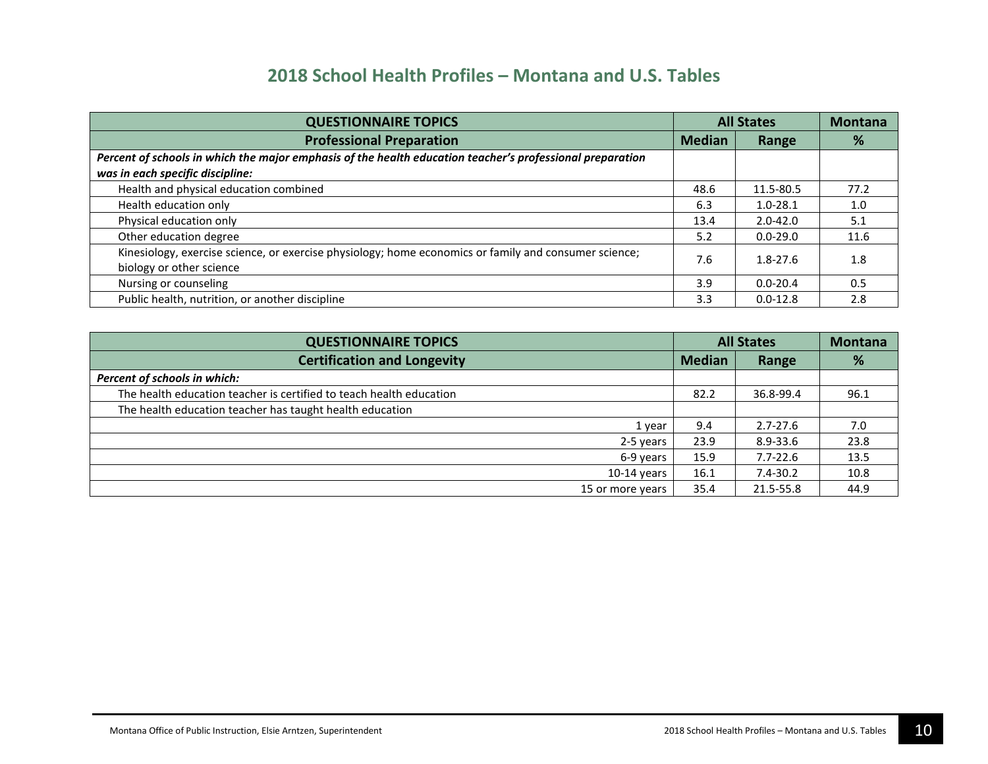| <b>QUESTIONNAIRE TOPICS</b>                                                                               | <b>All States</b> |              | <b>Montana</b> |
|-----------------------------------------------------------------------------------------------------------|-------------------|--------------|----------------|
| <b>Professional Preparation</b>                                                                           | <b>Median</b>     | Range        | %              |
| Percent of schools in which the major emphasis of the health education teacher's professional preparation |                   |              |                |
| was in each specific discipline:                                                                          |                   |              |                |
| Health and physical education combined                                                                    | 48.6              | 11.5-80.5    | 77.2           |
| Health education only                                                                                     | 6.3               | $1.0 - 28.1$ | 1.0            |
| Physical education only                                                                                   | 13.4              | $2.0 - 42.0$ | 5.1            |
| Other education degree                                                                                    | 5.2               | $0.0 - 29.0$ | 11.6           |
| Kinesiology, exercise science, or exercise physiology; home economics or family and consumer science;     | 7.6               | $1.8 - 27.6$ | 1.8            |
| biology or other science                                                                                  |                   |              |                |
| Nursing or counseling                                                                                     | 3.9               | $0.0 - 20.4$ | 0.5            |
| Public health, nutrition, or another discipline                                                           | 3.3               | $0.0 - 12.8$ | 2.8            |

| <b>QUESTIONNAIRE TOPICS</b>                                         | <b>All States</b> |              | <b>Montana</b> |
|---------------------------------------------------------------------|-------------------|--------------|----------------|
| <b>Certification and Longevity</b>                                  | <b>Median</b>     | Range        | %              |
| Percent of schools in which:                                        |                   |              |                |
| The health education teacher is certified to teach health education | 82.2              | 36.8-99.4    | 96.1           |
| The health education teacher has taught health education            |                   |              |                |
| 1 year                                                              | 9.4               | $2.7 - 27.6$ | 7.0            |
| 2-5 years                                                           | 23.9              | 8.9-33.6     | 23.8           |
| 6-9 years                                                           | 15.9              | $7.7 - 22.6$ | 13.5           |
| $10-14$ years                                                       | 16.1              | $7.4 - 30.2$ | 10.8           |
| 15 or more years                                                    | 35.4              | 21.5-55.8    | 44.9           |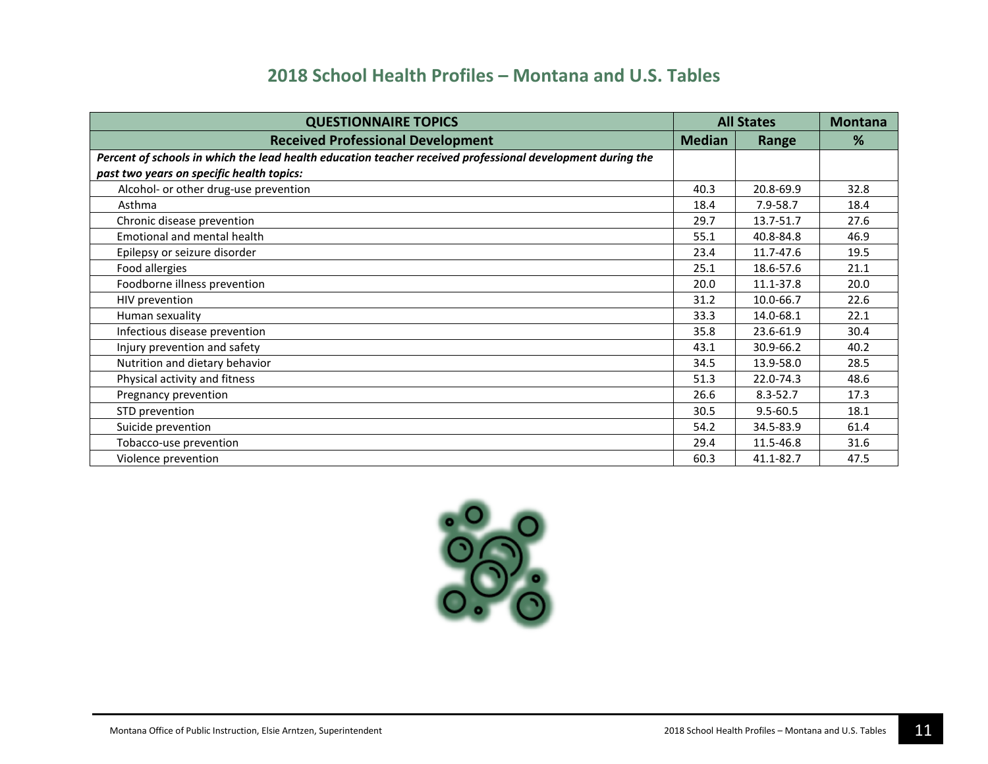| <b>QUESTIONNAIRE TOPICS</b>                                                                                | <b>All States</b> |              | <b>Montana</b> |
|------------------------------------------------------------------------------------------------------------|-------------------|--------------|----------------|
| <b>Received Professional Development</b>                                                                   | <b>Median</b>     | Range        | %              |
| Percent of schools in which the lead health education teacher received professional development during the |                   |              |                |
| past two years on specific health topics:                                                                  |                   |              |                |
| Alcohol- or other drug-use prevention                                                                      | 40.3              | 20.8-69.9    | 32.8           |
| Asthma                                                                                                     | 18.4              | $7.9 - 58.7$ | 18.4           |
| Chronic disease prevention                                                                                 | 29.7              | 13.7-51.7    | 27.6           |
| Emotional and mental health                                                                                | 55.1              | 40.8-84.8    | 46.9           |
| Epilepsy or seizure disorder                                                                               | 23.4              | 11.7-47.6    | 19.5           |
| Food allergies                                                                                             | 25.1              | 18.6-57.6    | 21.1           |
| Foodborne illness prevention                                                                               | 20.0              | 11.1-37.8    | 20.0           |
| HIV prevention                                                                                             | 31.2              | 10.0-66.7    | 22.6           |
| Human sexuality                                                                                            | 33.3              | 14.0-68.1    | 22.1           |
| Infectious disease prevention                                                                              | 35.8              | 23.6-61.9    | 30.4           |
| Injury prevention and safety                                                                               | 43.1              | 30.9-66.2    | 40.2           |
| Nutrition and dietary behavior                                                                             | 34.5              | 13.9-58.0    | 28.5           |
| Physical activity and fitness                                                                              | 51.3              | 22.0-74.3    | 48.6           |
| Pregnancy prevention                                                                                       | 26.6              | $8.3 - 52.7$ | 17.3           |
| STD prevention                                                                                             | 30.5              | $9.5 - 60.5$ | 18.1           |
| Suicide prevention                                                                                         | 54.2              | 34.5-83.9    | 61.4           |
| Tobacco-use prevention                                                                                     | 29.4              | 11.5-46.8    | 31.6           |
| Violence prevention                                                                                        | 60.3              | 41.1-82.7    | 47.5           |

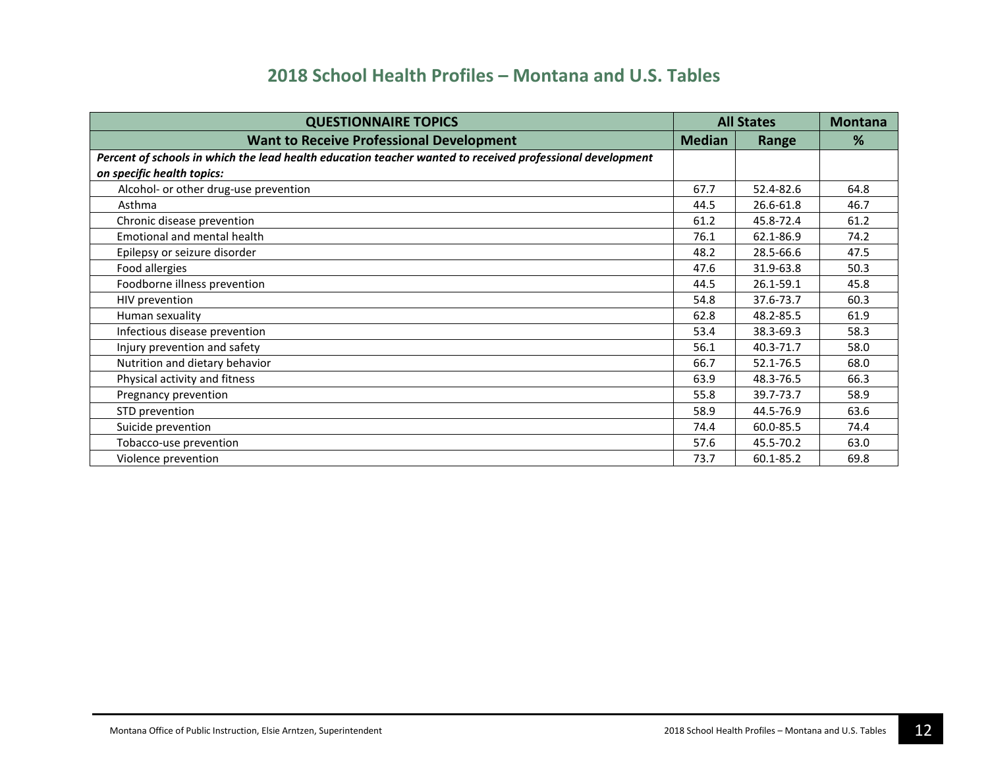| <b>QUESTIONNAIRE TOPICS</b>                                                                               | <b>All States</b> |           | <b>Montana</b> |
|-----------------------------------------------------------------------------------------------------------|-------------------|-----------|----------------|
| <b>Want to Receive Professional Development</b>                                                           | <b>Median</b>     | Range     | %              |
| Percent of schools in which the lead health education teacher wanted to received professional development |                   |           |                |
| on specific health topics:                                                                                |                   |           |                |
| Alcohol- or other drug-use prevention                                                                     | 67.7              | 52.4-82.6 | 64.8           |
| Asthma                                                                                                    | 44.5              | 26.6-61.8 | 46.7           |
| Chronic disease prevention                                                                                | 61.2              | 45.8-72.4 | 61.2           |
| <b>Emotional and mental health</b>                                                                        | 76.1              | 62.1-86.9 | 74.2           |
| Epilepsy or seizure disorder                                                                              | 48.2              | 28.5-66.6 | 47.5           |
| Food allergies                                                                                            | 47.6              | 31.9-63.8 | 50.3           |
| Foodborne illness prevention                                                                              | 44.5              | 26.1-59.1 | 45.8           |
| HIV prevention                                                                                            | 54.8              | 37.6-73.7 | 60.3           |
| Human sexuality                                                                                           | 62.8              | 48.2-85.5 | 61.9           |
| Infectious disease prevention                                                                             | 53.4              | 38.3-69.3 | 58.3           |
| Injury prevention and safety                                                                              | 56.1              | 40.3-71.7 | 58.0           |
| Nutrition and dietary behavior                                                                            | 66.7              | 52.1-76.5 | 68.0           |
| Physical activity and fitness                                                                             | 63.9              | 48.3-76.5 | 66.3           |
| Pregnancy prevention                                                                                      | 55.8              | 39.7-73.7 | 58.9           |
| STD prevention                                                                                            | 58.9              | 44.5-76.9 | 63.6           |
| Suicide prevention                                                                                        | 74.4              | 60.0-85.5 | 74.4           |
| Tobacco-use prevention                                                                                    | 57.6              | 45.5-70.2 | 63.0           |
| Violence prevention                                                                                       | 73.7              | 60.1-85.2 | 69.8           |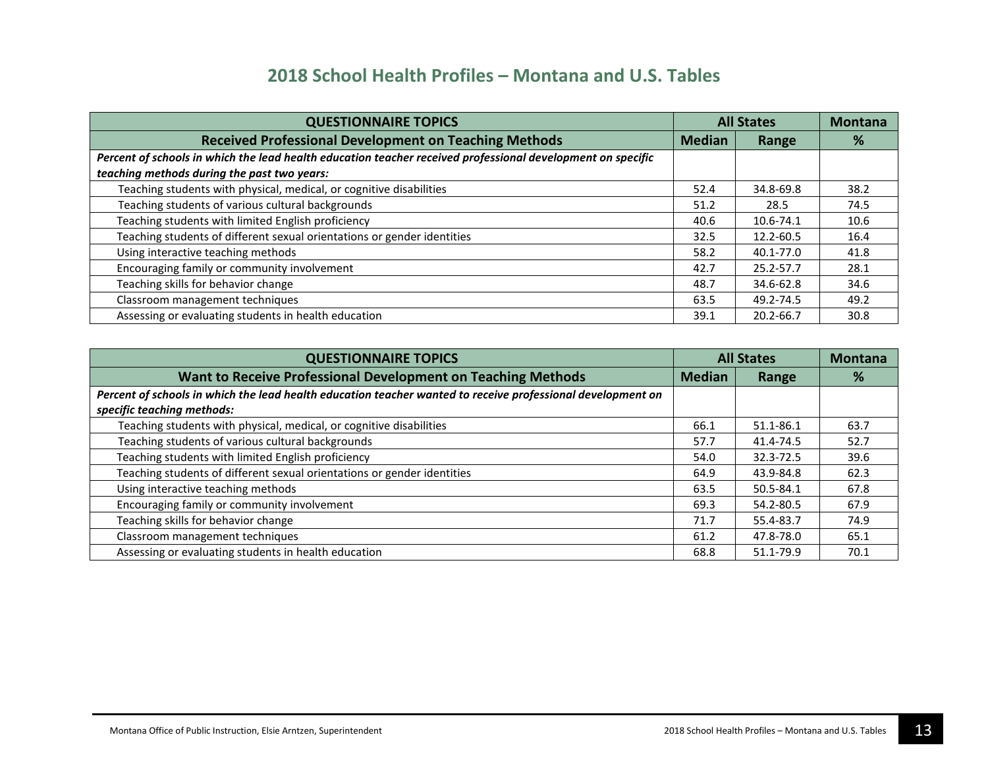| <b>QUESTIONNAIRE TOPICS</b>                                                                                 | <b>All States</b> |           | <b>Montana</b> |
|-------------------------------------------------------------------------------------------------------------|-------------------|-----------|----------------|
| <b>Received Professional Development on Teaching Methods</b>                                                | <b>Median</b>     | Range     | %              |
| Percent of schools in which the lead health education teacher received professional development on specific |                   |           |                |
| teaching methods during the past two years:                                                                 |                   |           |                |
| Teaching students with physical, medical, or cognitive disabilities                                         | 52.4              | 34.8-69.8 | 38.2           |
| Teaching students of various cultural backgrounds                                                           | 51.2              | 28.5      | 74.5           |
| Teaching students with limited English proficiency                                                          | 40.6              | 10.6-74.1 | 10.6           |
| Teaching students of different sexual orientations or gender identities                                     | 32.5              | 12.2-60.5 | 16.4           |
| Using interactive teaching methods                                                                          | 58.2              | 40.1-77.0 | 41.8           |
| Encouraging family or community involvement                                                                 | 42.7              | 25.2-57.7 | 28.1           |
| Teaching skills for behavior change                                                                         | 48.7              | 34.6-62.8 | 34.6           |
| Classroom management techniques                                                                             | 63.5              | 49.2-74.5 | 49.2           |
| Assessing or evaluating students in health education                                                        | 39.1              | 20.2-66.7 | 30.8           |

| <b>QUESTIONNAIRE TOPICS</b>                                                                                 | <b>All States</b> |           | <b>Montana</b> |
|-------------------------------------------------------------------------------------------------------------|-------------------|-----------|----------------|
| Want to Receive Professional Development on Teaching Methods                                                | <b>Median</b>     | Range     | %              |
| Percent of schools in which the lead health education teacher wanted to receive professional development on |                   |           |                |
| specific teaching methods:                                                                                  |                   |           |                |
| Teaching students with physical, medical, or cognitive disabilities                                         | 66.1              | 51.1-86.1 | 63.7           |
| Teaching students of various cultural backgrounds                                                           | 57.7              | 41.4-74.5 | 52.7           |
| Teaching students with limited English proficiency                                                          | 54.0              | 32.3-72.5 | 39.6           |
| Teaching students of different sexual orientations or gender identities                                     | 64.9              | 43.9-84.8 | 62.3           |
| Using interactive teaching methods                                                                          | 63.5              | 50.5-84.1 | 67.8           |
| Encouraging family or community involvement                                                                 | 69.3              | 54.2-80.5 | 67.9           |
| Teaching skills for behavior change                                                                         | 71.7              | 55.4-83.7 | 74.9           |
| Classroom management techniques                                                                             | 61.2              | 47.8-78.0 | 65.1           |
| Assessing or evaluating students in health education                                                        | 68.8              | 51.1-79.9 | 70.1           |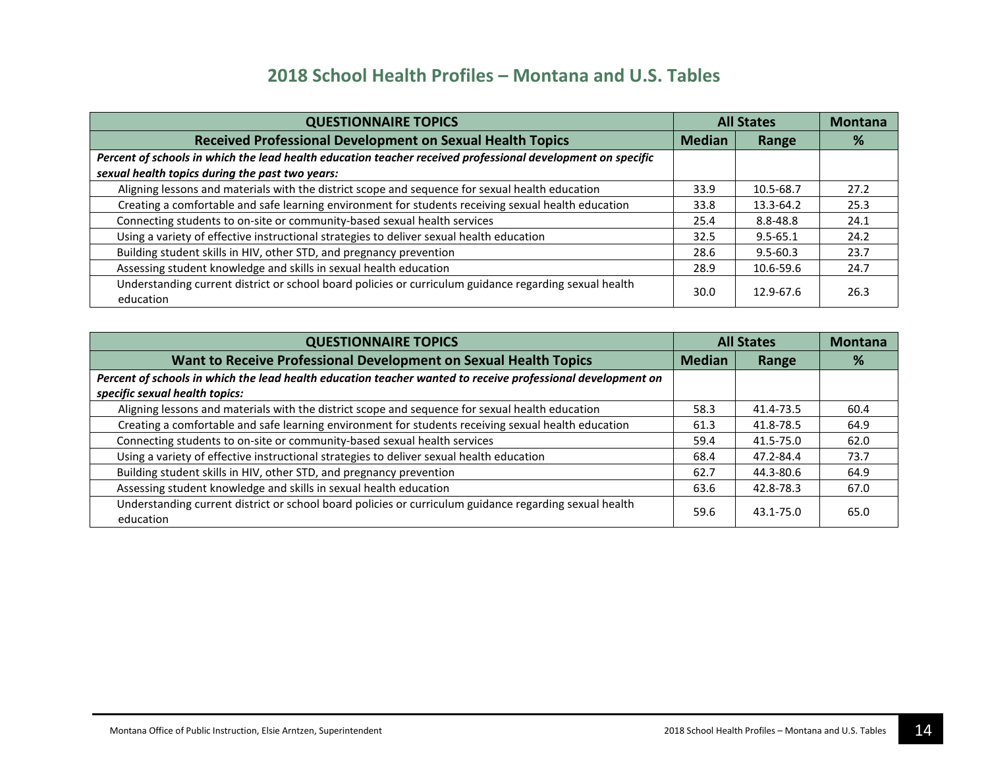| <b>QUESTIONNAIRE TOPICS</b>                                                                                         | <b>All States</b> |              | <b>Montana</b> |
|---------------------------------------------------------------------------------------------------------------------|-------------------|--------------|----------------|
| <b>Received Professional Development on Sexual Health Topics</b>                                                    | <b>Median</b>     | Range        | %              |
| Percent of schools in which the lead health education teacher received professional development on specific         |                   |              |                |
| sexual health topics during the past two years:                                                                     |                   |              |                |
| Aligning lessons and materials with the district scope and sequence for sexual health education                     | 33.9              | 10.5-68.7    | 27.2           |
| Creating a comfortable and safe learning environment for students receiving sexual health education                 | 33.8              | 13.3-64.2    | 25.3           |
| Connecting students to on-site or community-based sexual health services                                            | 25.4              | 8.8-48.8     | 24.1           |
| Using a variety of effective instructional strategies to deliver sexual health education                            | 32.5              | $9.5 - 65.1$ | 24.2           |
| Building student skills in HIV, other STD, and pregnancy prevention                                                 | 28.6              | $9.5 - 60.3$ | 23.7           |
| Assessing student knowledge and skills in sexual health education                                                   | 28.9              | 10.6-59.6    | 24.7           |
| Understanding current district or school board policies or curriculum guidance regarding sexual health<br>education | 30.0              | 12.9-67.6    | 26.3           |

| <b>QUESTIONNAIRE TOPICS</b>                                                                                                                   | <b>All States</b> |           | <b>Montana</b> |
|-----------------------------------------------------------------------------------------------------------------------------------------------|-------------------|-----------|----------------|
| Want to Receive Professional Development on Sexual Health Topics                                                                              | <b>Median</b>     | Range     | %              |
| Percent of schools in which the lead health education teacher wanted to receive professional development on<br>specific sexual health topics: |                   |           |                |
| Aligning lessons and materials with the district scope and sequence for sexual health education                                               | 58.3              | 41.4-73.5 | 60.4           |
| Creating a comfortable and safe learning environment for students receiving sexual health education                                           | 61.3              | 41.8-78.5 | 64.9           |
| Connecting students to on-site or community-based sexual health services                                                                      | 59.4              | 41.5-75.0 | 62.0           |
| Using a variety of effective instructional strategies to deliver sexual health education                                                      | 68.4              | 47.2-84.4 | 73.7           |
| Building student skills in HIV, other STD, and pregnancy prevention                                                                           | 62.7              | 44.3-80.6 | 64.9           |
| Assessing student knowledge and skills in sexual health education                                                                             | 63.6              | 42.8-78.3 | 67.0           |
| Understanding current district or school board policies or curriculum guidance regarding sexual health<br>education                           | 59.6              | 43.1-75.0 | 65.0           |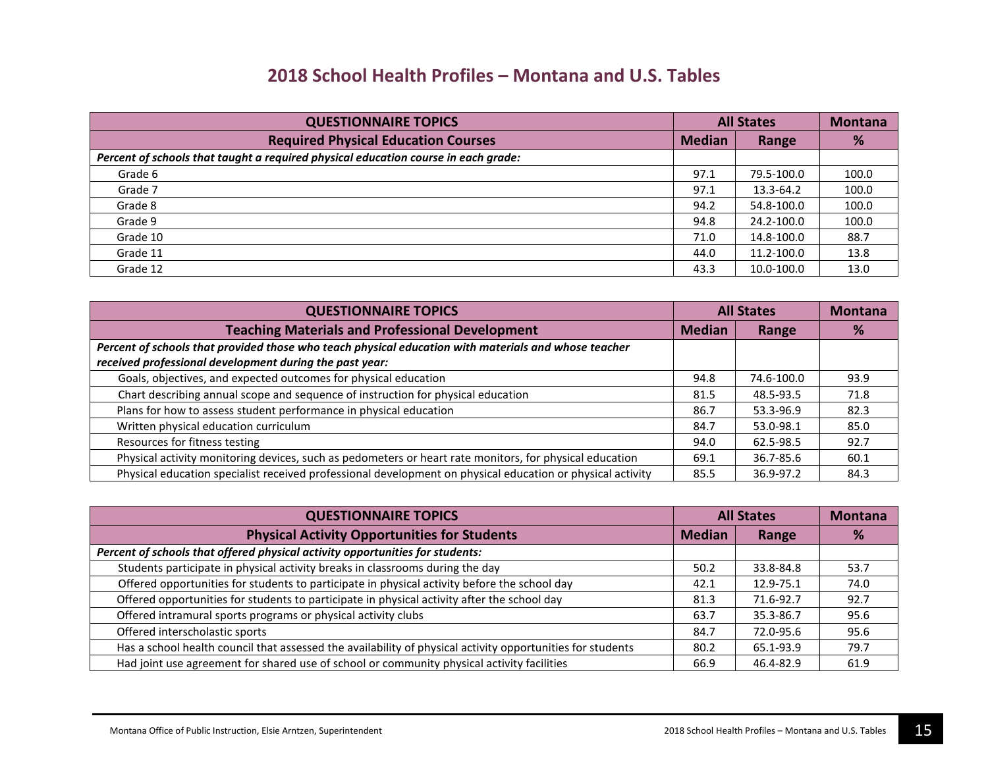| <b>QUESTIONNAIRE TOPICS</b>                                                        | <b>All States</b> |            | <b>Montana</b> |
|------------------------------------------------------------------------------------|-------------------|------------|----------------|
| <b>Required Physical Education Courses</b>                                         | <b>Median</b>     | Range      | %              |
| Percent of schools that taught a required physical education course in each grade: |                   |            |                |
| Grade 6                                                                            | 97.1              | 79.5-100.0 | 100.0          |
| Grade 7                                                                            | 97.1              | 13.3-64.2  | 100.0          |
| Grade 8                                                                            | 94.2              | 54.8-100.0 | 100.0          |
| Grade 9                                                                            | 94.8              | 24.2-100.0 | 100.0          |
| Grade 10                                                                           | 71.0              | 14.8-100.0 | 88.7           |
| Grade 11                                                                           | 44.0              | 11.2-100.0 | 13.8           |
| Grade 12                                                                           | 43.3              | 10.0-100.0 | 13.0           |

| <b>QUESTIONNAIRE TOPICS</b>                                                                                | <b>All States</b> |            | <b>Montana</b> |
|------------------------------------------------------------------------------------------------------------|-------------------|------------|----------------|
| <b>Teaching Materials and Professional Development</b>                                                     | <b>Median</b>     | Range      | %              |
| Percent of schools that provided those who teach physical education with materials and whose teacher       |                   |            |                |
| received professional development during the past year:                                                    |                   |            |                |
| Goals, objectives, and expected outcomes for physical education                                            | 94.8              | 74.6-100.0 | 93.9           |
| Chart describing annual scope and sequence of instruction for physical education                           | 81.5              | 48.5-93.5  | 71.8           |
| Plans for how to assess student performance in physical education                                          | 86.7              | 53.3-96.9  | 82.3           |
| Written physical education curriculum                                                                      | 84.7              | 53.0-98.1  | 85.0           |
| Resources for fitness testing                                                                              | 94.0              | 62.5-98.5  | 92.7           |
| Physical activity monitoring devices, such as pedometers or heart rate monitors, for physical education    | 69.1              | 36.7-85.6  | 60.1           |
| Physical education specialist received professional development on physical education or physical activity | 85.5              | 36.9-97.2  | 84.3           |

| <b>QUESTIONNAIRE TOPICS</b>                                                                                | <b>All States</b> |           | <b>Montana</b> |
|------------------------------------------------------------------------------------------------------------|-------------------|-----------|----------------|
| <b>Physical Activity Opportunities for Students</b>                                                        | <b>Median</b>     | Range     | %              |
| Percent of schools that offered physical activity opportunities for students:                              |                   |           |                |
| Students participate in physical activity breaks in classrooms during the day                              | 50.2              | 33.8-84.8 | 53.7           |
| Offered opportunities for students to participate in physical activity before the school day               | 42.1              | 12.9-75.1 | 74.0           |
| Offered opportunities for students to participate in physical activity after the school day                | 81.3              | 71.6-92.7 | 92.7           |
| Offered intramural sports programs or physical activity clubs                                              | 63.7              | 35.3-86.7 | 95.6           |
| Offered interscholastic sports                                                                             | 84.7              | 72.0-95.6 | 95.6           |
| Has a school health council that assessed the availability of physical activity opportunities for students | 80.2              | 65.1-93.9 | 79.7           |
| Had joint use agreement for shared use of school or community physical activity facilities                 | 66.9              | 46.4-82.9 | 61.9           |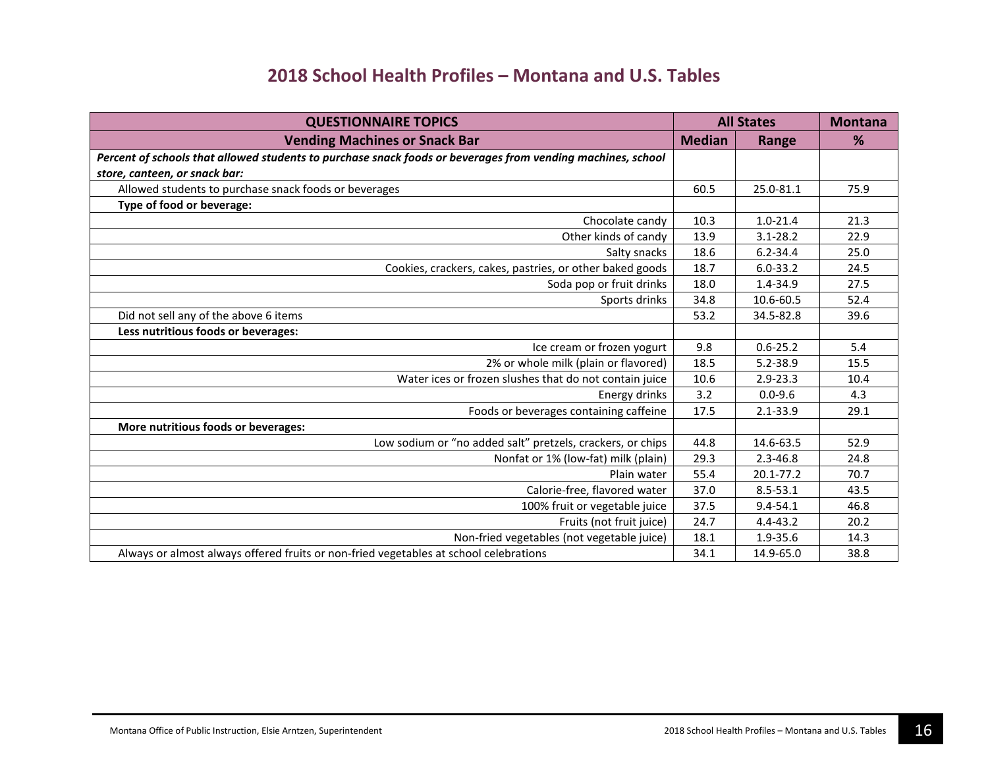| <b>QUESTIONNAIRE TOPICS</b>                                                                                 |               | <b>All States</b> | <b>Montana</b> |
|-------------------------------------------------------------------------------------------------------------|---------------|-------------------|----------------|
| <b>Vending Machines or Snack Bar</b>                                                                        | <b>Median</b> | Range             | %              |
| Percent of schools that allowed students to purchase snack foods or beverages from vending machines, school |               |                   |                |
| store, canteen, or snack bar:                                                                               |               |                   |                |
| Allowed students to purchase snack foods or beverages                                                       | 60.5          | 25.0-81.1         | 75.9           |
| Type of food or beverage:                                                                                   |               |                   |                |
| Chocolate candy                                                                                             | 10.3          | $1.0 - 21.4$      | 21.3           |
| Other kinds of candy                                                                                        | 13.9          | $3.1 - 28.2$      | 22.9           |
| Salty snacks                                                                                                | 18.6          | $6.2 - 34.4$      | 25.0           |
| Cookies, crackers, cakes, pastries, or other baked goods                                                    | 18.7          | $6.0 - 33.2$      | 24.5           |
| Soda pop or fruit drinks                                                                                    | 18.0          | 1.4-34.9          | 27.5           |
| Sports drinks                                                                                               | 34.8          | 10.6-60.5         | 52.4           |
| Did not sell any of the above 6 items                                                                       | 53.2          | 34.5-82.8         | 39.6           |
| Less nutritious foods or beverages:                                                                         |               |                   |                |
| Ice cream or frozen yogurt                                                                                  | 9.8           | $0.6 - 25.2$      | 5.4            |
| 2% or whole milk (plain or flavored)                                                                        | 18.5          | $5.2 - 38.9$      | 15.5           |
| Water ices or frozen slushes that do not contain juice                                                      | 10.6          | $2.9 - 23.3$      | 10.4           |
| Energy drinks                                                                                               | 3.2           | $0.0 - 9.6$       | 4.3            |
| Foods or beverages containing caffeine                                                                      | 17.5          | $2.1 - 33.9$      | 29.1           |
| More nutritious foods or beverages:                                                                         |               |                   |                |
| Low sodium or "no added salt" pretzels, crackers, or chips                                                  | 44.8          | 14.6-63.5         | 52.9           |
| Nonfat or 1% (low-fat) milk (plain)                                                                         | 29.3          | $2.3 - 46.8$      | 24.8           |
| Plain water                                                                                                 | 55.4          | 20.1-77.2         | 70.7           |
| Calorie-free, flavored water                                                                                | 37.0          | $8.5 - 53.1$      | 43.5           |
| 100% fruit or vegetable juice                                                                               | 37.5          | $9.4 - 54.1$      | 46.8           |
| Fruits (not fruit juice)                                                                                    | 24.7          | 4.4-43.2          | 20.2           |
| Non-fried vegetables (not vegetable juice)                                                                  | 18.1          | 1.9-35.6          | 14.3           |
| Always or almost always offered fruits or non-fried vegetables at school celebrations                       | 34.1          | 14.9-65.0         | 38.8           |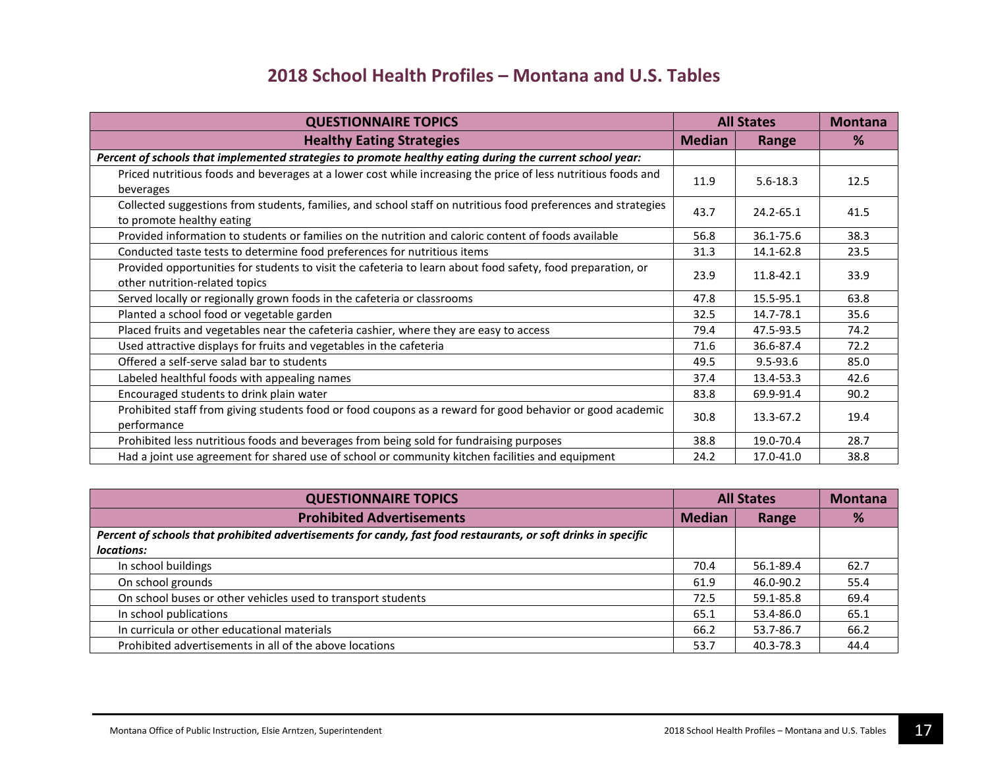| <b>QUESTIONNAIRE TOPICS</b>                                                                                                                   | <b>All States</b> |              | <b>Montana</b> |
|-----------------------------------------------------------------------------------------------------------------------------------------------|-------------------|--------------|----------------|
| <b>Healthy Eating Strategies</b>                                                                                                              | <b>Median</b>     | Range        | %              |
| Percent of schools that implemented strategies to promote healthy eating during the current school year:                                      |                   |              |                |
| Priced nutritious foods and beverages at a lower cost while increasing the price of less nutritious foods and<br>beverages                    | 11.9              | $5.6 - 18.3$ | 12.5           |
| Collected suggestions from students, families, and school staff on nutritious food preferences and strategies<br>to promote healthy eating    | 43.7              | 24.2-65.1    | 41.5           |
| Provided information to students or families on the nutrition and caloric content of foods available                                          | 56.8              | 36.1-75.6    | 38.3           |
| Conducted taste tests to determine food preferences for nutritious items                                                                      | 31.3              | 14.1-62.8    | 23.5           |
| Provided opportunities for students to visit the cafeteria to learn about food safety, food preparation, or<br>other nutrition-related topics | 23.9              | 11.8-42.1    | 33.9           |
| Served locally or regionally grown foods in the cafeteria or classrooms                                                                       | 47.8              | 15.5-95.1    | 63.8           |
| Planted a school food or vegetable garden                                                                                                     | 32.5              | 14.7-78.1    | 35.6           |
| Placed fruits and vegetables near the cafeteria cashier, where they are easy to access                                                        | 79.4              | 47.5-93.5    | 74.2           |
| Used attractive displays for fruits and vegetables in the cafeteria                                                                           | 71.6              | 36.6-87.4    | 72.2           |
| Offered a self-serve salad bar to students                                                                                                    | 49.5              | $9.5 - 93.6$ | 85.0           |
| Labeled healthful foods with appealing names                                                                                                  | 37.4              | 13.4-53.3    | 42.6           |
| Encouraged students to drink plain water                                                                                                      | 83.8              | 69.9-91.4    | 90.2           |
| Prohibited staff from giving students food or food coupons as a reward for good behavior or good academic<br>performance                      | 30.8              | 13.3-67.2    | 19.4           |
| Prohibited less nutritious foods and beverages from being sold for fundraising purposes                                                       | 38.8              | 19.0-70.4    | 28.7           |
| Had a joint use agreement for shared use of school or community kitchen facilities and equipment                                              | 24.2              | 17.0-41.0    | 38.8           |

| <b>QUESTIONNAIRE TOPICS</b>                                                                                    | <b>All States</b> |           | <b>Montana</b> |
|----------------------------------------------------------------------------------------------------------------|-------------------|-----------|----------------|
| <b>Prohibited Advertisements</b>                                                                               | <b>Median</b>     | Range     | %              |
| Percent of schools that prohibited advertisements for candy, fast food restaurants, or soft drinks in specific |                   |           |                |
| locations:                                                                                                     |                   |           |                |
| In school buildings                                                                                            | 70.4              | 56.1-89.4 | 62.7           |
| On school grounds                                                                                              | 61.9              | 46.0-90.2 | 55.4           |
| On school buses or other vehicles used to transport students                                                   | 72.5              | 59.1-85.8 | 69.4           |
| In school publications                                                                                         | 65.1              | 53.4-86.0 | 65.1           |
| In curricula or other educational materials                                                                    | 66.2              | 53.7-86.7 | 66.2           |
| Prohibited advertisements in all of the above locations                                                        | 53.7              | 40.3-78.3 | 44.4           |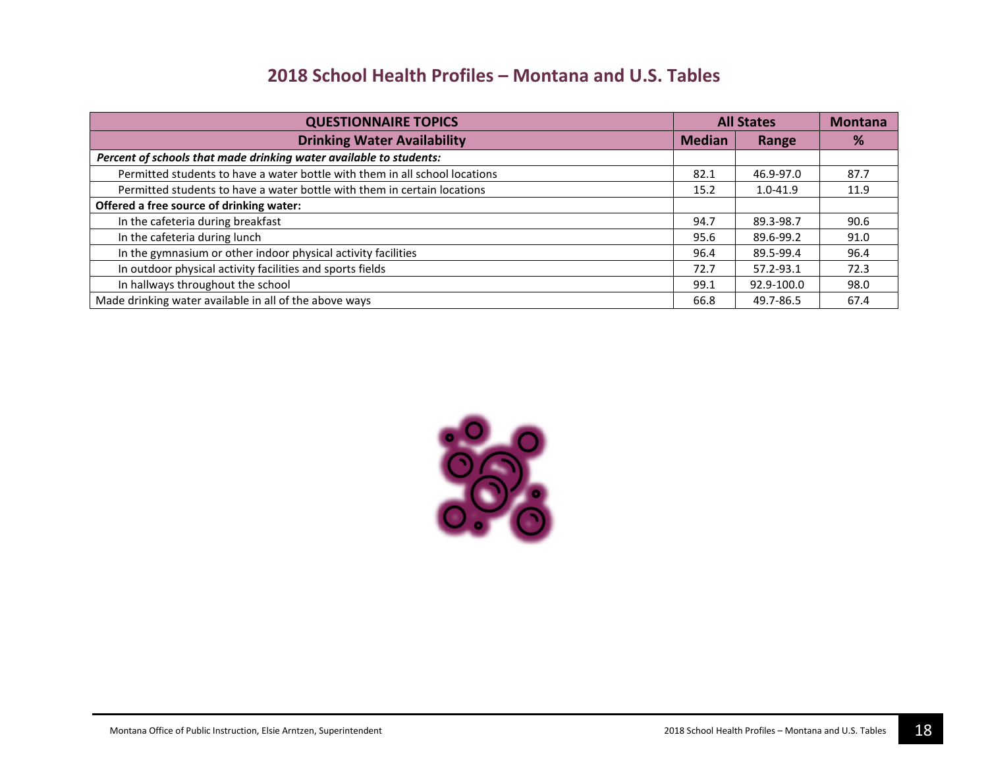| <b>QUESTIONNAIRE TOPICS</b>                                                 | <b>All States</b> |              | <b>Montana</b> |
|-----------------------------------------------------------------------------|-------------------|--------------|----------------|
| <b>Drinking Water Availability</b>                                          | <b>Median</b>     | Range        | %              |
| Percent of schools that made drinking water available to students:          |                   |              |                |
| Permitted students to have a water bottle with them in all school locations | 82.1              | 46.9-97.0    | 87.7           |
| Permitted students to have a water bottle with them in certain locations    | 15.2              | $1.0 - 41.9$ | 11.9           |
| Offered a free source of drinking water:                                    |                   |              |                |
| In the cafeteria during breakfast                                           | 94.7              | 89.3-98.7    | 90.6           |
| In the cafeteria during lunch                                               | 95.6              | 89.6-99.2    | 91.0           |
| In the gymnasium or other indoor physical activity facilities               | 96.4              | 89.5-99.4    | 96.4           |
| In outdoor physical activity facilities and sports fields                   | 72.7              | 57.2-93.1    | 72.3           |
| In hallways throughout the school                                           | 99.1              | 92.9-100.0   | 98.0           |
| Made drinking water available in all of the above ways                      | 66.8              | 49.7-86.5    | 67.4           |

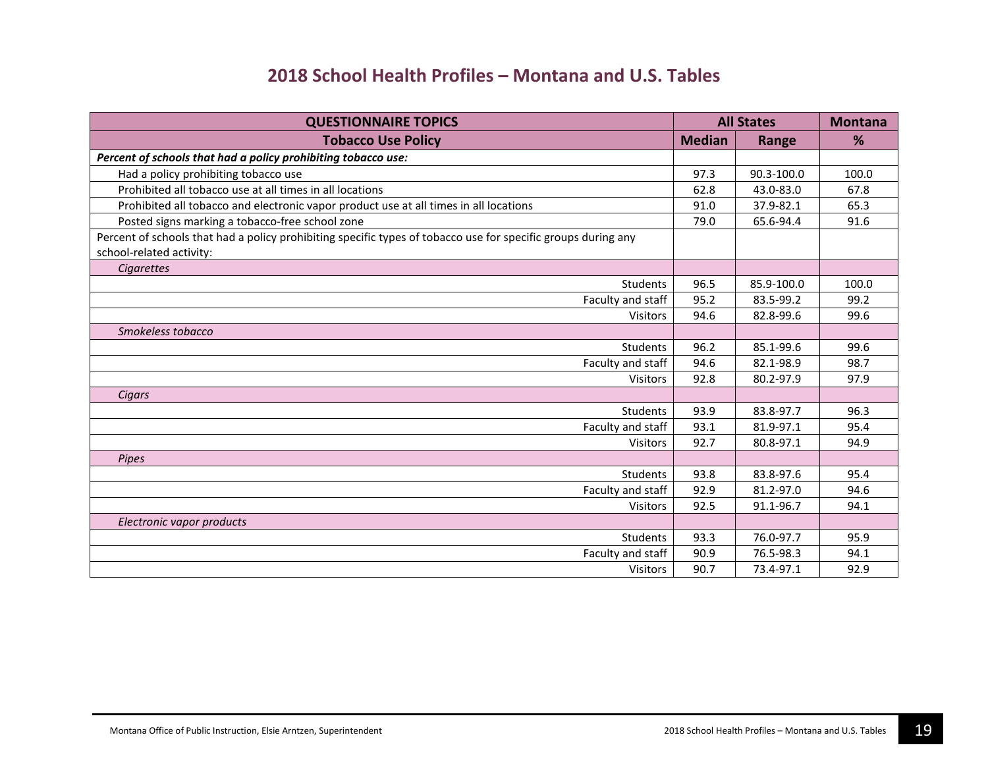| <b>QUESTIONNAIRE TOPICS</b>                                                                                                               | <b>All States</b> |              | <b>Montana</b> |
|-------------------------------------------------------------------------------------------------------------------------------------------|-------------------|--------------|----------------|
| <b>Tobacco Use Policy</b>                                                                                                                 | <b>Median</b>     | <b>Range</b> | %              |
| Percent of schools that had a policy prohibiting tobacco use:                                                                             |                   |              |                |
| Had a policy prohibiting tobacco use                                                                                                      | 97.3              | 90.3-100.0   | 100.0          |
| Prohibited all tobacco use at all times in all locations                                                                                  | 62.8              | 43.0-83.0    | 67.8           |
| Prohibited all tobacco and electronic vapor product use at all times in all locations                                                     | 91.0              | 37.9-82.1    | 65.3           |
| Posted signs marking a tobacco-free school zone                                                                                           | 79.0              | 65.6-94.4    | 91.6           |
| Percent of schools that had a policy prohibiting specific types of tobacco use for specific groups during any<br>school-related activity: |                   |              |                |
| Cigarettes                                                                                                                                |                   |              |                |
| Students                                                                                                                                  | 96.5              | 85.9-100.0   | 100.0          |
| Faculty and staff                                                                                                                         | 95.2              | 83.5-99.2    | 99.2           |
| <b>Visitors</b>                                                                                                                           | 94.6              | 82.8-99.6    | 99.6           |
| Smokeless tobacco                                                                                                                         |                   |              |                |
| Students                                                                                                                                  | 96.2              | 85.1-99.6    | 99.6           |
| Faculty and staff                                                                                                                         | 94.6              | 82.1-98.9    | 98.7           |
| <b>Visitors</b>                                                                                                                           | 92.8              | 80.2-97.9    | 97.9           |
| Cigars                                                                                                                                    |                   |              |                |
| Students                                                                                                                                  | 93.9              | 83.8-97.7    | 96.3           |
| Faculty and staff                                                                                                                         | 93.1              | 81.9-97.1    | 95.4           |
| <b>Visitors</b>                                                                                                                           | 92.7              | 80.8-97.1    | 94.9           |
| Pipes                                                                                                                                     |                   |              |                |
| Students                                                                                                                                  | 93.8              | 83.8-97.6    | 95.4           |
| Faculty and staff                                                                                                                         | 92.9              | 81.2-97.0    | 94.6           |
| <b>Visitors</b>                                                                                                                           | 92.5              | 91.1-96.7    | 94.1           |
| Electronic vapor products                                                                                                                 |                   |              |                |
| Students                                                                                                                                  | 93.3              | 76.0-97.7    | 95.9           |
| Faculty and staff                                                                                                                         | 90.9              | 76.5-98.3    | 94.1           |
| <b>Visitors</b>                                                                                                                           | 90.7              | 73.4-97.1    | 92.9           |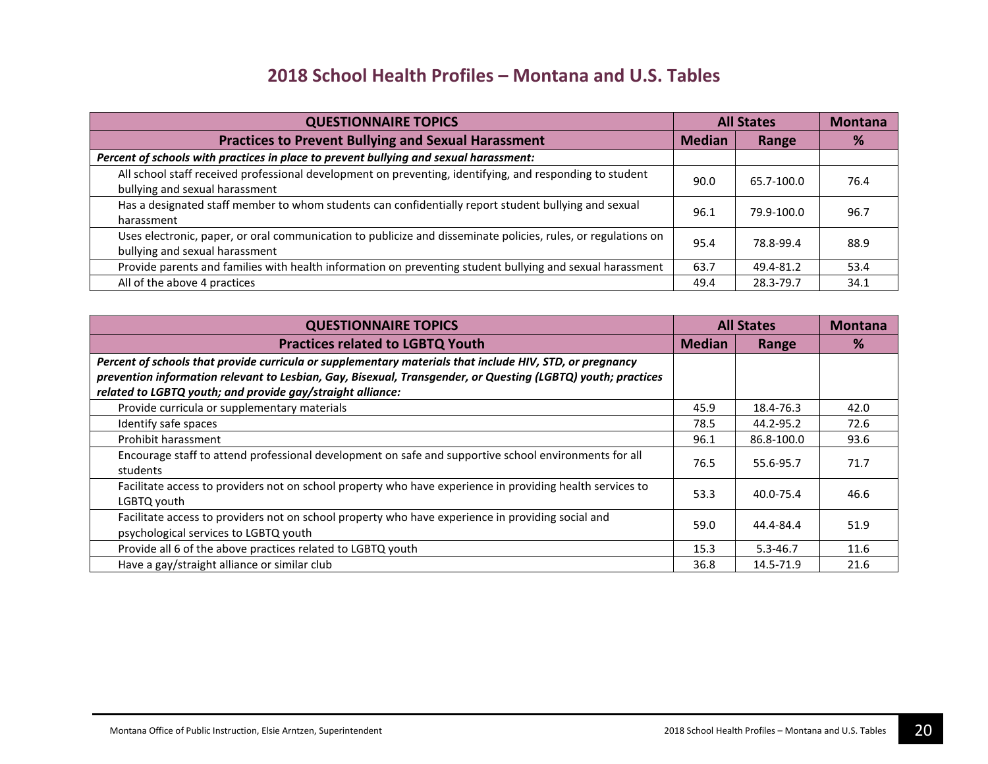| <b>QUESTIONNAIRE TOPICS</b>                                                                                                                     | <b>All States</b> |            | <b>Montana</b> |
|-------------------------------------------------------------------------------------------------------------------------------------------------|-------------------|------------|----------------|
| <b>Practices to Prevent Bullying and Sexual Harassment</b>                                                                                      | <b>Median</b>     | Range      | %              |
| Percent of schools with practices in place to prevent bullying and sexual harassment:                                                           |                   |            |                |
| All school staff received professional development on preventing, identifying, and responding to student<br>bullying and sexual harassment      | 90.0              | 65.7-100.0 | 76.4           |
| Has a designated staff member to whom students can confidentially report student bullying and sexual<br>harassment                              | 96.1              | 79.9-100.0 | 96.7           |
| Uses electronic, paper, or oral communication to publicize and disseminate policies, rules, or regulations on<br>bullying and sexual harassment | 95.4              | 78.8-99.4  | 88.9           |
| Provide parents and families with health information on preventing student bullying and sexual harassment                                       | 63.7              | 49.4-81.2  | 53.4           |
| All of the above 4 practices                                                                                                                    | 49.4              | 28.3-79.7  | 34.1           |

| <b>QUESTIONNAIRE TOPICS</b>                                                                                                                | <b>All States</b> |              | <b>Montana</b> |
|--------------------------------------------------------------------------------------------------------------------------------------------|-------------------|--------------|----------------|
| <b>Practices related to LGBTQ Youth</b>                                                                                                    | <b>Median</b>     | Range        | %              |
| Percent of schools that provide curricula or supplementary materials that include HIV, STD, or pregnancy                                   |                   |              |                |
| prevention information relevant to Lesbian, Gay, Bisexual, Transgender, or Questing (LGBTQ) youth; practices                               |                   |              |                |
| related to LGBTQ youth; and provide gay/straight alliance:                                                                                 |                   |              |                |
| Provide curricula or supplementary materials                                                                                               | 45.9              | 18.4-76.3    | 42.0           |
| Identify safe spaces                                                                                                                       | 78.5              | 44.2-95.2    | 72.6           |
| Prohibit harassment                                                                                                                        | 96.1              | 86.8-100.0   | 93.6           |
| Encourage staff to attend professional development on safe and supportive school environments for all<br>students                          | 76.5              | 55.6-95.7    | 71.7           |
| Facilitate access to providers not on school property who have experience in providing health services to<br>LGBTQ youth                   | 53.3              | 40.0-75.4    | 46.6           |
| Facilitate access to providers not on school property who have experience in providing social and<br>psychological services to LGBTQ youth | 59.0              | 44.4-84.4    | 51.9           |
| Provide all 6 of the above practices related to LGBTQ youth                                                                                | 15.3              | $5.3 - 46.7$ | 11.6           |
| Have a gay/straight alliance or similar club                                                                                               | 36.8              | 14.5-71.9    | 21.6           |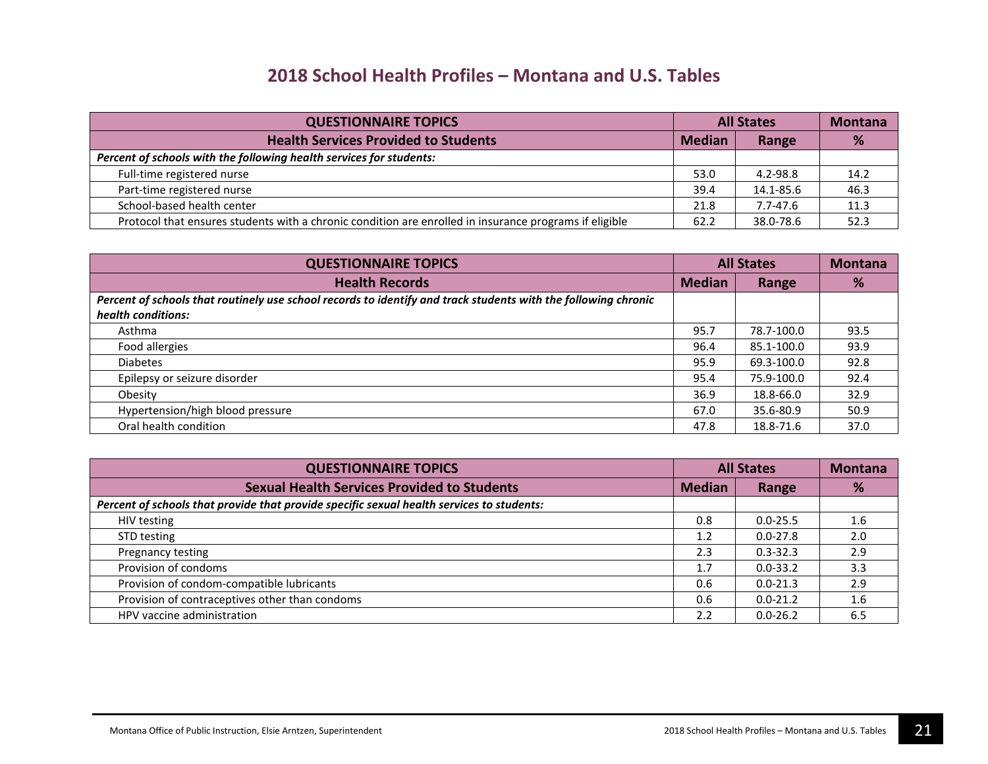| <b>QUESTIONNAIRE TOPICS</b>                                                                            | <b>All States</b> |              | <b>Montana</b> |
|--------------------------------------------------------------------------------------------------------|-------------------|--------------|----------------|
| <b>Health Services Provided to Students</b>                                                            | <b>Median</b>     | Range        | %              |
| Percent of schools with the following health services for students:                                    |                   |              |                |
| Full-time registered nurse                                                                             | 53.0              | 4.2-98.8     | 14.2           |
| Part-time registered nurse                                                                             | 39.4              | 14.1-85.6    | 46.3           |
| School-based health center                                                                             | 21.8              | $7.7 - 47.6$ | 11.3           |
| Protocol that ensures students with a chronic condition are enrolled in insurance programs if eligible | 62.2              | 38.0-78.6    | 52.3           |

| <b>QUESTIONNAIRE TOPICS</b>                                                                                                          | <b>All States</b> |            | <b>Montana</b> |
|--------------------------------------------------------------------------------------------------------------------------------------|-------------------|------------|----------------|
| <b>Health Records</b>                                                                                                                | <b>Median</b>     | Range      | %              |
| Percent of schools that routinely use school records to identify and track students with the following chronic<br>health conditions: |                   |            |                |
| Asthma                                                                                                                               | 95.7              | 78.7-100.0 | 93.5           |
| Food allergies                                                                                                                       | 96.4              | 85.1-100.0 | 93.9           |
| <b>Diabetes</b>                                                                                                                      | 95.9              | 69.3-100.0 | 92.8           |
| Epilepsy or seizure disorder                                                                                                         | 95.4              | 75.9-100.0 | 92.4           |
| Obesity                                                                                                                              | 36.9              | 18.8-66.0  | 32.9           |
| Hypertension/high blood pressure                                                                                                     | 67.0              | 35.6-80.9  | 50.9           |
| Oral health condition                                                                                                                | 47.8              | 18.8-71.6  | 37.0           |

| <b>QUESTIONNAIRE TOPICS</b>                                                               | <b>All States</b> |              | <b>Montana</b> |
|-------------------------------------------------------------------------------------------|-------------------|--------------|----------------|
| <b>Sexual Health Services Provided to Students</b>                                        | <b>Median</b>     | Range        | %              |
| Percent of schools that provide that provide specific sexual health services to students: |                   |              |                |
| HIV testing                                                                               | 0.8               | $0.0 - 25.5$ | 1.6            |
| STD testing                                                                               | 1.2               | $0.0 - 27.8$ | 2.0            |
| Pregnancy testing                                                                         | 2.3               | $0.3 - 32.3$ | 2.9            |
| Provision of condoms                                                                      | 1.7               | $0.0 - 33.2$ | 3.3            |
| Provision of condom-compatible lubricants                                                 | 0.6               | $0.0 - 21.3$ | 2.9            |
| Provision of contraceptives other than condoms                                            | 0.6               | $0.0 - 21.2$ | 1.6            |
| HPV vaccine administration                                                                | 2.2               | $0.0 - 26.2$ | 6.5            |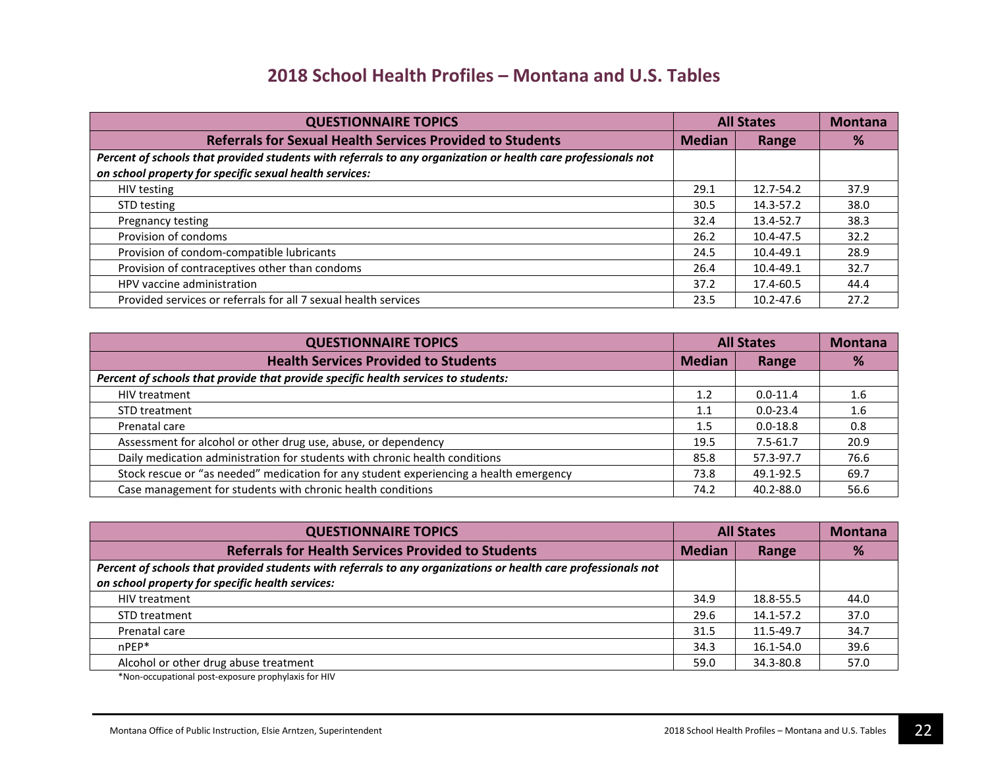| <b>QUESTIONNAIRE TOPICS</b>                                                                                   | <b>All States</b> |           | <b>Montana</b> |
|---------------------------------------------------------------------------------------------------------------|-------------------|-----------|----------------|
| <b>Referrals for Sexual Health Services Provided to Students</b>                                              | <b>Median</b>     | Range     | %              |
| Percent of schools that provided students with referrals to any organization or health care professionals not |                   |           |                |
| on school property for specific sexual health services:                                                       |                   |           |                |
| HIV testing                                                                                                   | 29.1              | 12.7-54.2 | 37.9           |
| STD testing                                                                                                   | 30.5              | 14.3-57.2 | 38.0           |
| Pregnancy testing                                                                                             | 32.4              | 13.4-52.7 | 38.3           |
| Provision of condoms                                                                                          | 26.2              | 10.4-47.5 | 32.2           |
| Provision of condom-compatible lubricants                                                                     | 24.5              | 10.4-49.1 | 28.9           |
| Provision of contraceptives other than condoms                                                                | 26.4              | 10.4-49.1 | 32.7           |
| HPV vaccine administration                                                                                    | 37.2              | 17.4-60.5 | 44.4           |
| Provided services or referrals for all 7 sexual health services                                               | 23.5              | 10.2-47.6 | 27.2           |

| <b>QUESTIONNAIRE TOPICS</b>                                                            | <b>All States</b> |              | <b>Montana</b> |
|----------------------------------------------------------------------------------------|-------------------|--------------|----------------|
| <b>Health Services Provided to Students</b>                                            | <b>Median</b>     | Range        | %              |
| Percent of schools that provide that provide specific health services to students:     |                   |              |                |
| HIV treatment                                                                          | 1.2               | $0.0 - 11.4$ | 1.6            |
| STD treatment                                                                          | 1.1               | $0.0 - 23.4$ | 1.6            |
| Prenatal care                                                                          | 1.5               | $0.0 - 18.8$ | 0.8            |
| Assessment for alcohol or other drug use, abuse, or dependency                         | 19.5              | $7.5 - 61.7$ | 20.9           |
| Daily medication administration for students with chronic health conditions            | 85.8              | 57.3-97.7    | 76.6           |
| Stock rescue or "as needed" medication for any student experiencing a health emergency | 73.8              | 49.1-92.5    | 69.7           |
| Case management for students with chronic health conditions                            | 74.2              | 40.2-88.0    | 56.6           |

| <b>QUESTIONNAIRE TOPICS</b>                                                                                    | <b>All States</b> |           | <b>Montana</b> |
|----------------------------------------------------------------------------------------------------------------|-------------------|-----------|----------------|
| <b>Referrals for Health Services Provided to Students</b>                                                      | <b>Median</b>     | Range     | %              |
| Percent of schools that provided students with referrals to any organizations or health care professionals not |                   |           |                |
| on school property for specific health services:                                                               |                   |           |                |
| HIV treatment                                                                                                  | 34.9              | 18.8-55.5 | 44.0           |
| STD treatment                                                                                                  | 29.6              | 14.1-57.2 | 37.0           |
| Prenatal care                                                                                                  | 31.5              | 11.5-49.7 | 34.7           |
| $n$ PFP $*$                                                                                                    | 34.3              | 16.1-54.0 | 39.6           |
| Alcohol or other drug abuse treatment                                                                          | 59.0              | 34.3-80.8 | 57.0           |

\*Non-occupational post-exposure prophylaxis for HIV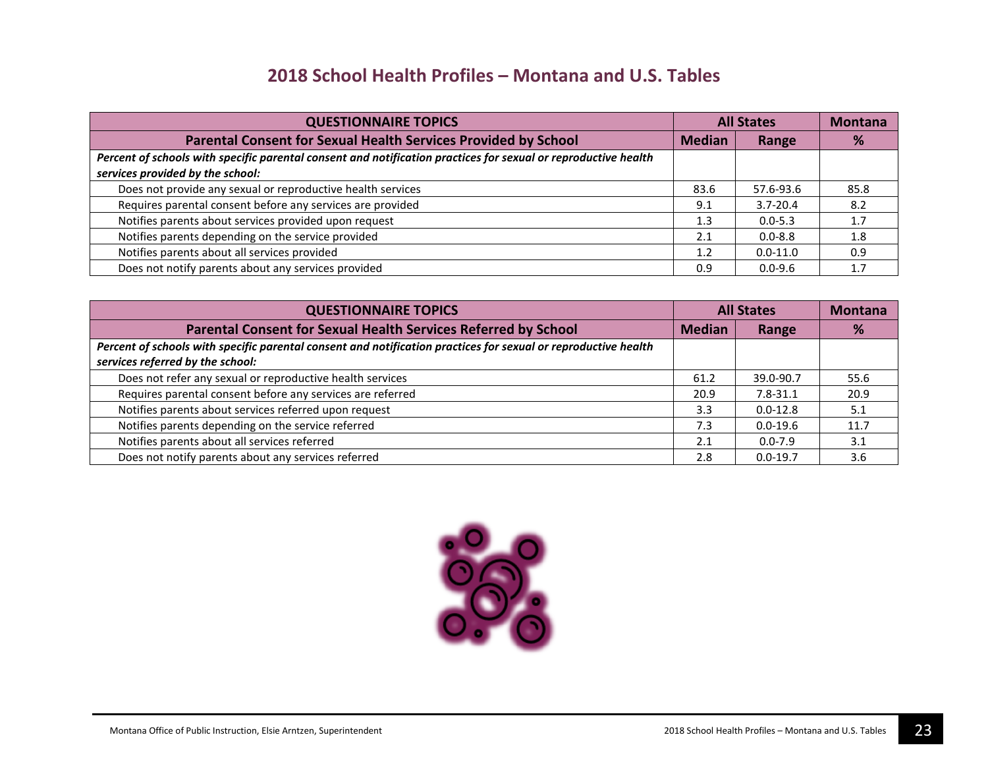| <b>QUESTIONNAIRE TOPICS</b>                                                                                    | <b>All States</b> |              | <b>Montana</b> |
|----------------------------------------------------------------------------------------------------------------|-------------------|--------------|----------------|
| Parental Consent for Sexual Health Services Provided by School                                                 | <b>Median</b>     | Range        | %              |
| Percent of schools with specific parental consent and notification practices for sexual or reproductive health |                   |              |                |
| services provided by the school:                                                                               |                   |              |                |
| Does not provide any sexual or reproductive health services                                                    | 83.6              | 57.6-93.6    | 85.8           |
| Requires parental consent before any services are provided                                                     | 9.1               | $3.7 - 20.4$ | 8.2            |
| Notifies parents about services provided upon request                                                          | 1.3               | $0.0 - 5.3$  | 1.7            |
| Notifies parents depending on the service provided                                                             | 2.1               | $0.0 - 8.8$  | 1.8            |
| Notifies parents about all services provided                                                                   | 1.2               | $0.0 - 11.0$ | 0.9            |
| Does not notify parents about any services provided                                                            | 0.9               | $0.0 - 9.6$  |                |

| <b>QUESTIONNAIRE TOPICS</b>                                                                                    | <b>All States</b> |              | <b>Montana</b> |
|----------------------------------------------------------------------------------------------------------------|-------------------|--------------|----------------|
| Parental Consent for Sexual Health Services Referred by School                                                 | <b>Median</b>     | Range        | ℅              |
| Percent of schools with specific parental consent and notification practices for sexual or reproductive health |                   |              |                |
| services referred by the school:                                                                               |                   |              |                |
| Does not refer any sexual or reproductive health services                                                      | 61.2              | 39.0-90.7    | 55.6           |
| Requires parental consent before any services are referred                                                     | 20.9              | $7.8 - 31.1$ | 20.9           |
| Notifies parents about services referred upon request                                                          | 3.3               | $0.0 - 12.8$ | 5.1            |
| Notifies parents depending on the service referred                                                             | 7.3               | $0.0 - 19.6$ | 11.7           |
| Notifies parents about all services referred                                                                   | 2.1               | $0.0 - 7.9$  | 3.1            |
| Does not notify parents about any services referred                                                            | 2.8               | $0.0 - 19.7$ | 3.6            |

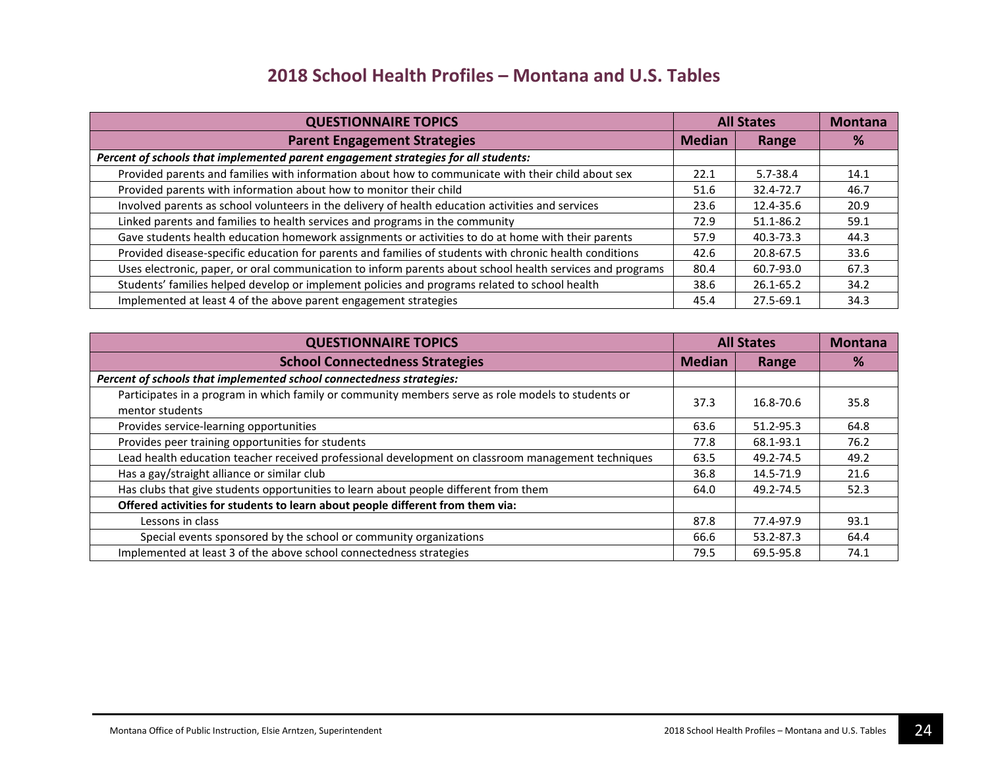| <b>QUESTIONNAIRE TOPICS</b>                                                                               | <b>All States</b> |              | <b>Montana</b> |
|-----------------------------------------------------------------------------------------------------------|-------------------|--------------|----------------|
| <b>Parent Engagement Strategies</b>                                                                       | <b>Median</b>     | Range        | %              |
| Percent of schools that implemented parent engagement strategies for all students:                        |                   |              |                |
| Provided parents and families with information about how to communicate with their child about sex        | 22.1              | $5.7 - 38.4$ | 14.1           |
| Provided parents with information about how to monitor their child                                        | 51.6              | 32.4-72.7    | 46.7           |
| Involved parents as school volunteers in the delivery of health education activities and services         | 23.6              | 12.4-35.6    | 20.9           |
| Linked parents and families to health services and programs in the community                              | 72.9              | 51.1-86.2    | 59.1           |
| Gave students health education homework assignments or activities to do at home with their parents        | 57.9              | 40.3-73.3    | 44.3           |
| Provided disease-specific education for parents and families of students with chronic health conditions   | 42.6              | 20.8-67.5    | 33.6           |
| Uses electronic, paper, or oral communication to inform parents about school health services and programs | 80.4              | 60.7-93.0    | 67.3           |
| Students' families helped develop or implement policies and programs related to school health             | 38.6              | 26.1-65.2    | 34.2           |
| Implemented at least 4 of the above parent engagement strategies                                          | 45.4              | 27.5-69.1    | 34.3           |

| <b>QUESTIONNAIRE TOPICS</b>                                                                                           | <b>All States</b> |           | <b>Montana</b> |
|-----------------------------------------------------------------------------------------------------------------------|-------------------|-----------|----------------|
| <b>School Connectedness Strategies</b>                                                                                | <b>Median</b>     | Range     | %              |
| Percent of schools that implemented school connectedness strategies:                                                  |                   |           |                |
| Participates in a program in which family or community members serve as role models to students or<br>mentor students | 37.3              | 16.8-70.6 | 35.8           |
| Provides service-learning opportunities                                                                               | 63.6              | 51.2-95.3 | 64.8           |
| Provides peer training opportunities for students                                                                     | 77.8              | 68.1-93.1 | 76.2           |
| Lead health education teacher received professional development on classroom management techniques                    | 63.5              | 49.2-74.5 | 49.2           |
| Has a gay/straight alliance or similar club                                                                           | 36.8              | 14.5-71.9 | 21.6           |
| Has clubs that give students opportunities to learn about people different from them                                  | 64.0              | 49.2-74.5 | 52.3           |
| Offered activities for students to learn about people different from them via:                                        |                   |           |                |
| Lessons in class                                                                                                      | 87.8              | 77.4-97.9 | 93.1           |
| Special events sponsored by the school or community organizations                                                     | 66.6              | 53.2-87.3 | 64.4           |
| Implemented at least 3 of the above school connectedness strategies                                                   | 79.5              | 69.5-95.8 | 74.1           |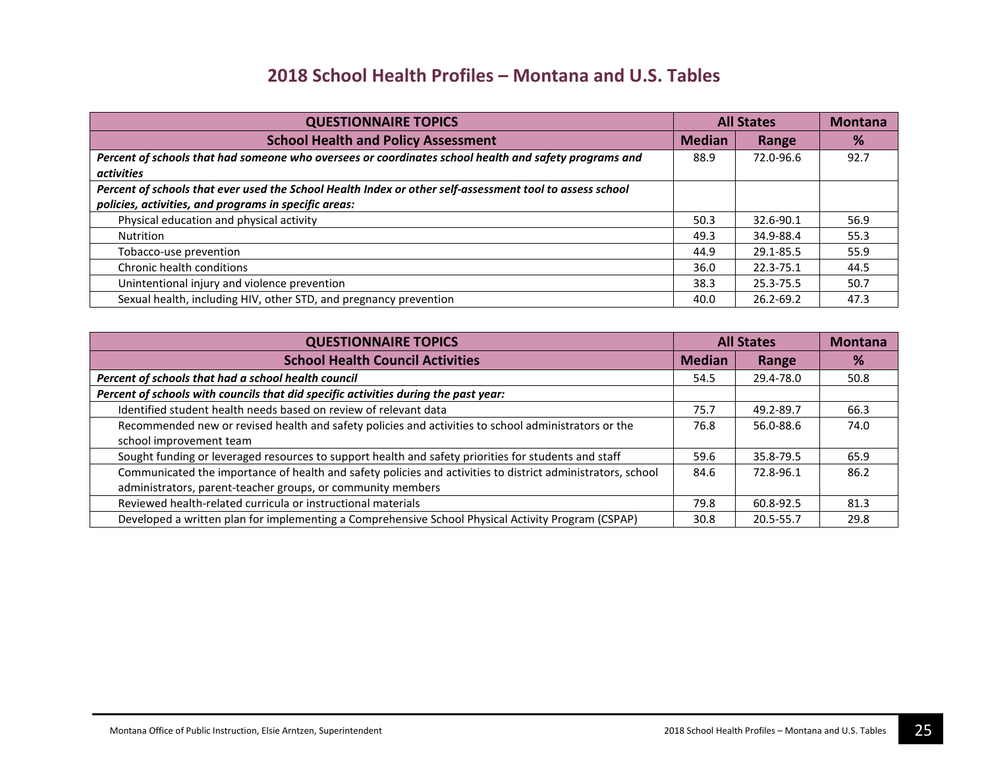| <b>QUESTIONNAIRE TOPICS</b>                                                                              | <b>All States</b> |           | <b>Montana</b> |
|----------------------------------------------------------------------------------------------------------|-------------------|-----------|----------------|
| <b>School Health and Policy Assessment</b>                                                               | <b>Median</b>     | Range     | %              |
| Percent of schools that had someone who oversees or coordinates school health and safety programs and    | 88.9              | 72.0-96.6 | 92.7           |
| <i>activities</i>                                                                                        |                   |           |                |
| Percent of schools that ever used the School Health Index or other self-assessment tool to assess school |                   |           |                |
| policies, activities, and programs in specific areas:                                                    |                   |           |                |
| Physical education and physical activity                                                                 | 50.3              | 32.6-90.1 | 56.9           |
| <b>Nutrition</b>                                                                                         | 49.3              | 34.9-88.4 | 55.3           |
| Tobacco-use prevention                                                                                   | 44.9              | 29.1-85.5 | 55.9           |
| Chronic health conditions                                                                                | 36.0              | 22.3-75.1 | 44.5           |
| Unintentional injury and violence prevention                                                             | 38.3              | 25.3-75.5 | 50.7           |
| Sexual health, including HIV, other STD, and pregnancy prevention                                        | 40.0              | 26.2-69.2 | 47.3           |

| <b>QUESTIONNAIRE TOPICS</b>                                                                                 | <b>All States</b> |           | <b>Montana</b> |
|-------------------------------------------------------------------------------------------------------------|-------------------|-----------|----------------|
| <b>School Health Council Activities</b>                                                                     | <b>Median</b>     | Range     | %              |
| Percent of schools that had a school health council                                                         | 54.5              | 29.4-78.0 | 50.8           |
| Percent of schools with councils that did specific activities during the past year:                         |                   |           |                |
| Identified student health needs based on review of relevant data                                            | 75.7              | 49.2-89.7 | 66.3           |
| Recommended new or revised health and safety policies and activities to school administrators or the        | 76.8              | 56.0-88.6 | 74.0           |
| school improvement team                                                                                     |                   |           |                |
| Sought funding or leveraged resources to support health and safety priorities for students and staff        | 59.6              | 35.8-79.5 | 65.9           |
| Communicated the importance of health and safety policies and activities to district administrators, school | 84.6              | 72.8-96.1 | 86.2           |
| administrators, parent-teacher groups, or community members                                                 |                   |           |                |
| Reviewed health-related curricula or instructional materials                                                | 79.8              | 60.8-92.5 | 81.3           |
| Developed a written plan for implementing a Comprehensive School Physical Activity Program (CSPAP)          | 30.8              | 20.5-55.7 | 29.8           |